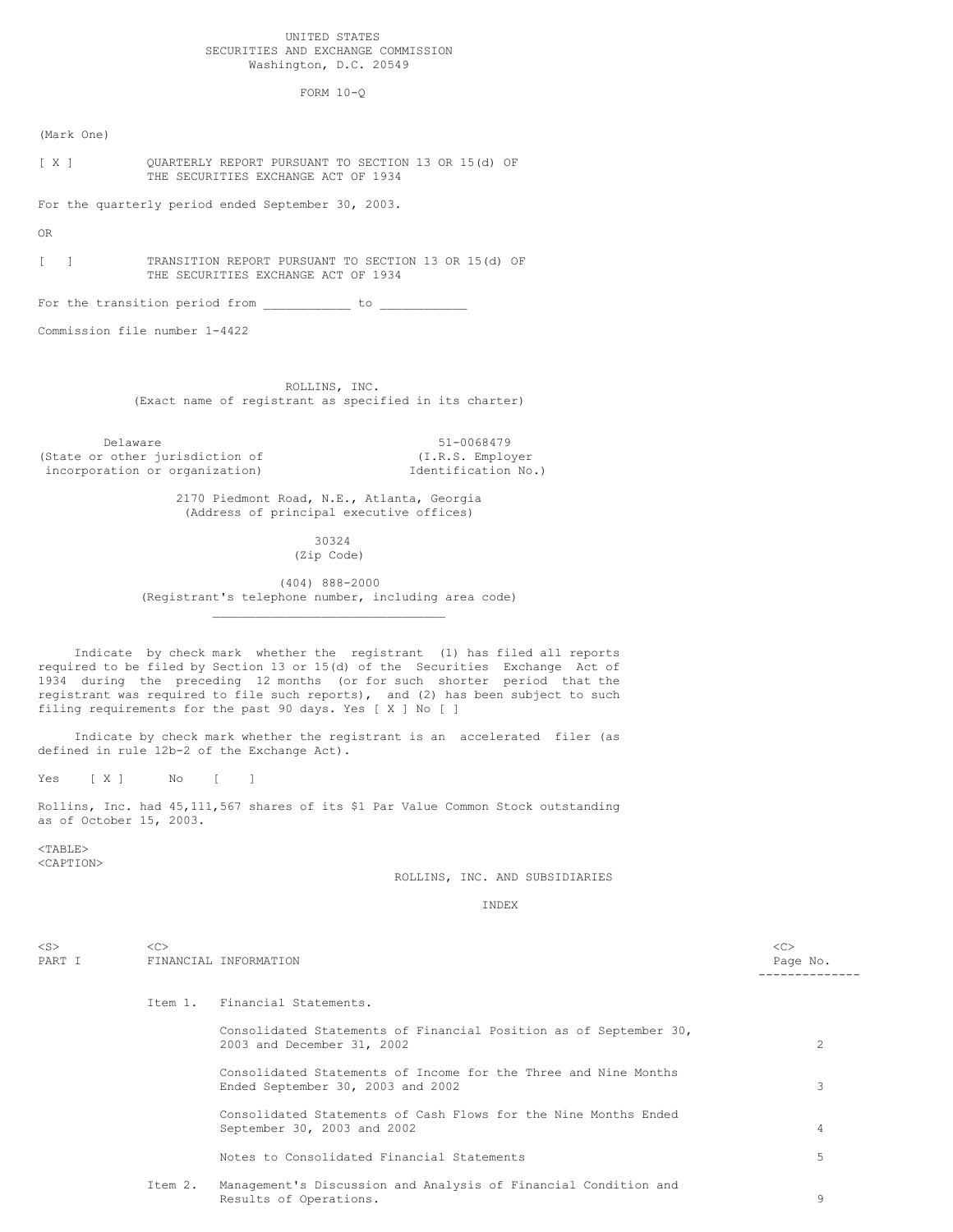## UNITED STATES SECURITIES AND EXCHANGE COMMISSION Washington, D.C. 20549

FORM 10-Q

(Mark One)

[ X ] QUARTERLY REPORT PURSUANT TO SECTION 13 OR 15(d) OF THE SECURITIES EXCHANGE ACT OF 1934

For the quarterly period ended September 30, 2003.

OR

[ ] TRANSITION REPORT PURSUANT TO SECTION 13 OR 15(d) OF THE SECURITIES EXCHANGE ACT OF 1934

For the transition period from  $\frac{\ }{\ }$ 

Commission file number 1-4422

ROLLINS, INC. (Exact name of registrant as specified in its charter)

Delaware 51-0068479<br>
c other jurisdiction of  $(1.R.S.$  Employer (State or other jurisdiction of  $(1.R.S.$  Employer incorporation or organization)  $\qquad \qquad$  Identification No.) incorporation or organization)

2170 Piedmont Road, N.E., Atlanta, Georgia (Address of principal executive offices)

> 30324 (Zip Code)

(404) 888-2000 (Registrant's telephone number, including area code)  $\overline{\phantom{a}}$  , and the set of the set of the set of the set of the set of the set of the set of the set of the set of the set of the set of the set of the set of the set of the set of the set of the set of the set of the s

Indicate by check mark whether the registrant (1) has filed all reports required to be filed by Section 13 or 15(d) of the Securities Exchange Act of 1934 during the preceding 12 months (or for such shorter period that the registrant was required to file such reports), and (2) has been subject to such filing requirements for the past 90 days. Yes [ X ] No [ ]

Indicate by check mark whether the registrant is an accelerated filer (as defined in rule 12b-2 of the Exchange Act).

Yes [ X ] No [ ]

Rollins, Inc. had 45,111,567 shares of its \$1 Par Value Common Stock outstanding as of October 15, 2003.

<TABLE> <CAPTION>

ROLLINS, INC. AND SUBSIDIARIES

INDEX

| $<$ S $>$ | <<      |                                                                                                      | <<             |
|-----------|---------|------------------------------------------------------------------------------------------------------|----------------|
| PART I    |         | FINANCIAL INFORMATION                                                                                | Page No.       |
|           |         |                                                                                                      |                |
|           | Item 1. | Financial Statements.                                                                                |                |
|           |         | Consolidated Statements of Financial Position as of September 30,<br>2003 and December 31, 2002      | $\mathfrak{D}$ |
|           |         | Consolidated Statements of Income for the Three and Nine Months<br>Ended September 30, 2003 and 2002 | 3              |
|           |         | Consolidated Statements of Cash Flows for the Nine Months Ended<br>September 30, 2003 and 2002       | 4              |
|           |         | Notes to Consolidated Financial Statements                                                           | 5              |
|           | Item 2. | Management's Discussion and Analysis of Financial Condition and<br>Results of Operations.            | 9              |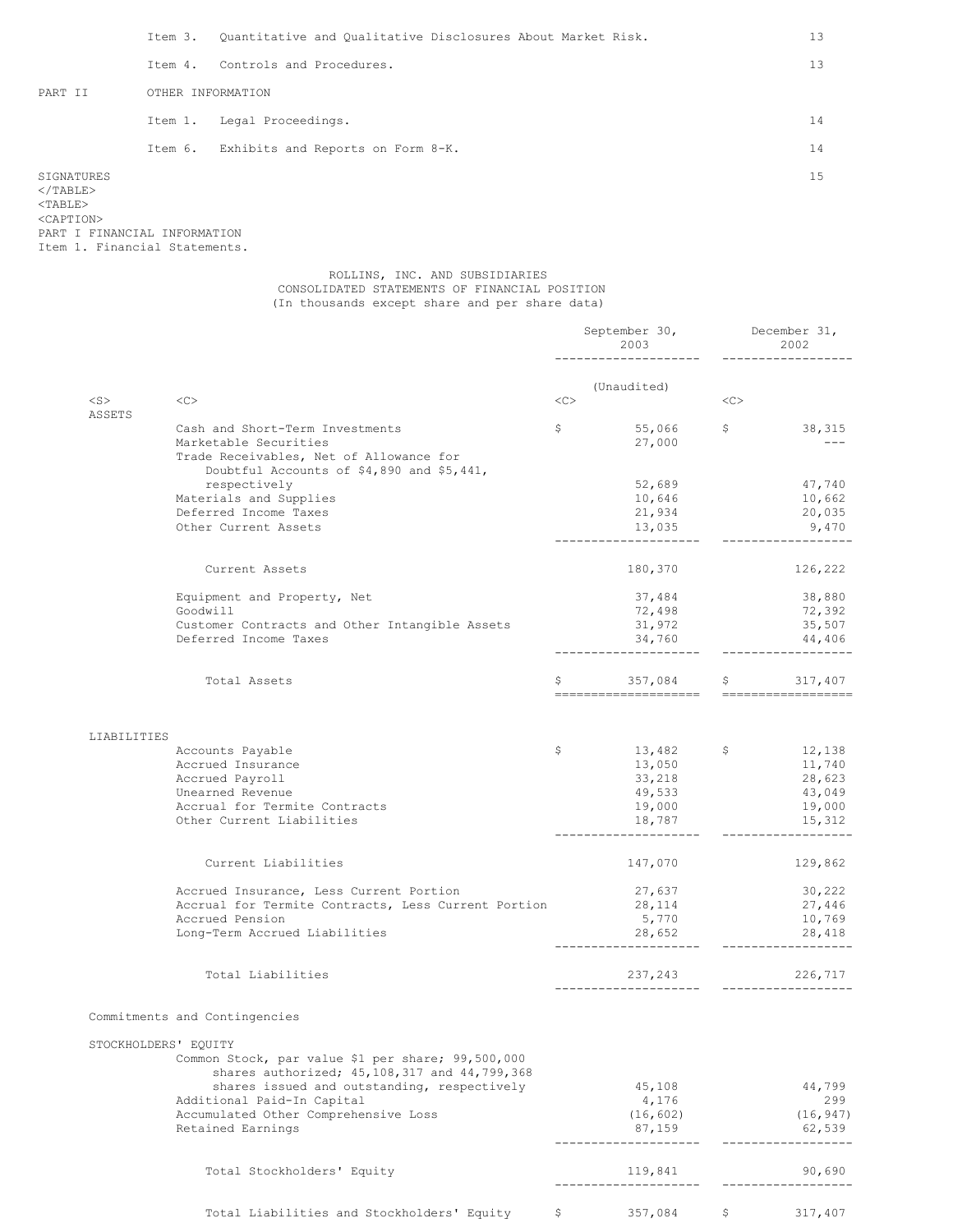|                                         | Item 3. | Ouantitative and Oualitative Disclosures About Market Risk. | 13 |
|-----------------------------------------|---------|-------------------------------------------------------------|----|
|                                         | Item 4. | Controls and Procedures.                                    | 13 |
| PART II                                 |         | OTHER INFORMATION                                           |    |
|                                         | Item 1. | Legal Proceedings.                                          | 14 |
|                                         | Item 6. | Exhibits and Reports on Form 8-K.                           | 14 |
| SIGNATURES<br>$<$ /TABLE><br>$<$ TABLE> |         |                                                             | 15 |

 $<$ TABI <CAPTION> PART I FINANCIAL INFORMATION Item 1. Financial Statements.

# ROLLINS, INC. AND SUBSIDIARIES CONSOLIDATED STATEMENTS OF FINANCIAL POSITION (In thousands except share and per share data)

|                     |                                                                                                                                                  | September 30,<br>2003 |                              | December 31,<br>2002 |                        |
|---------------------|--------------------------------------------------------------------------------------------------------------------------------------------------|-----------------------|------------------------------|----------------------|------------------------|
|                     | <<                                                                                                                                               | $<$ C>                | (Unaudited)                  |                      |                        |
| $<$ S $>$<br>ASSETS |                                                                                                                                                  |                       |                              | <<                   |                        |
|                     | Cash and Short-Term Investments<br>Marketable Securities<br>Trade Receivables, Net of Allowance for<br>Doubtful Accounts of \$4,890 and \$5,441, | \$                    | 55,066<br>27,000             | $\mathsf{S}$         | 38, 315                |
|                     | respectively                                                                                                                                     |                       | 52,689                       |                      | 47,740                 |
|                     | Materials and Supplies                                                                                                                           |                       | 10,646                       |                      | 10,662                 |
|                     | Deferred Income Taxes                                                                                                                            |                       | 21,934                       |                      | 20,035                 |
|                     | Other Current Assets                                                                                                                             |                       | 13,035                       |                      | 9,470                  |
|                     | Current Assets                                                                                                                                   |                       | 180,370                      |                      | 126,222                |
|                     | Equipment and Property, Net                                                                                                                      |                       | 37,484                       |                      | 38,880                 |
|                     | Goodwill                                                                                                                                         |                       | 72,498<br>31,972             |                      | 72,392<br>35,507       |
|                     | Customer Contracts and Other Intangible Assets<br>Deferred Income Taxes                                                                          |                       | 34,760                       |                      | 44,406                 |
|                     | Total Assets                                                                                                                                     | \$                    | 357,084                      |                      | \$317,407              |
|                     |                                                                                                                                                  |                       | --------------------         |                      | ==================     |
| LIABILITIES         |                                                                                                                                                  |                       |                              |                      |                        |
|                     | Accounts Payable<br>Accrued Insurance                                                                                                            | \$                    | 13,482<br>13,050             | $\mathsf{S}$         | 12,138<br>11,740       |
|                     | Accrued Payroll                                                                                                                                  |                       | 33,218                       |                      | 28,623                 |
|                     | Unearned Revenue                                                                                                                                 |                       | 49,533                       |                      | 43,049                 |
|                     | Accrual for Termite Contracts                                                                                                                    |                       | 19,000                       |                      | 19,000                 |
|                     | Other Current Liabilities                                                                                                                        |                       | 18,787                       |                      | 15,312                 |
|                     | Current Liabilities                                                                                                                              |                       | 147,070                      |                      | 129,862                |
|                     | Accrued Insurance, Less Current Portion                                                                                                          |                       | 27,637                       |                      | 30,222                 |
|                     | Accrual for Termite Contracts, Less Current Portion                                                                                              |                       | 28,114                       |                      | 27,446                 |
|                     | Accrued Pension<br>Long-Term Accrued Liabilities                                                                                                 |                       | 5,770<br>28,652              |                      | 10,769<br>28,418       |
|                     |                                                                                                                                                  |                       |                              |                      |                        |
|                     | Total Liabilities                                                                                                                                |                       | 237,243                      |                      | 226,717                |
|                     | Commitments and Contingencies                                                                                                                    |                       |                              |                      |                        |
|                     | STOCKHOLDERS' EQUITY                                                                                                                             |                       |                              |                      |                        |
|                     | Common Stock, par value \$1 per share; 99,500,000<br>shares authorized; 45,108,317 and 44,799,368                                                |                       |                              |                      |                        |
|                     | shares issued and outstanding, respectively                                                                                                      |                       | 45,108                       |                      | 44,799                 |
|                     | Additional Paid-In Capital<br>Accumulated Other Comprehensive Loss                                                                               |                       | 4,176<br>(16, 602)           |                      | 299<br>(16, 947)       |
|                     | Retained Earnings                                                                                                                                |                       | 87,159<br>------------------ |                      | 62,539<br>------------ |
|                     | Total Stockholders' Equity                                                                                                                       |                       | 119,841                      |                      | 90,690                 |
|                     | Total Liabilities and Stockholders' Equity                                                                                                       | \$.                   | 357,084                      | \$                   | 317,407                |
|                     |                                                                                                                                                  |                       |                              |                      |                        |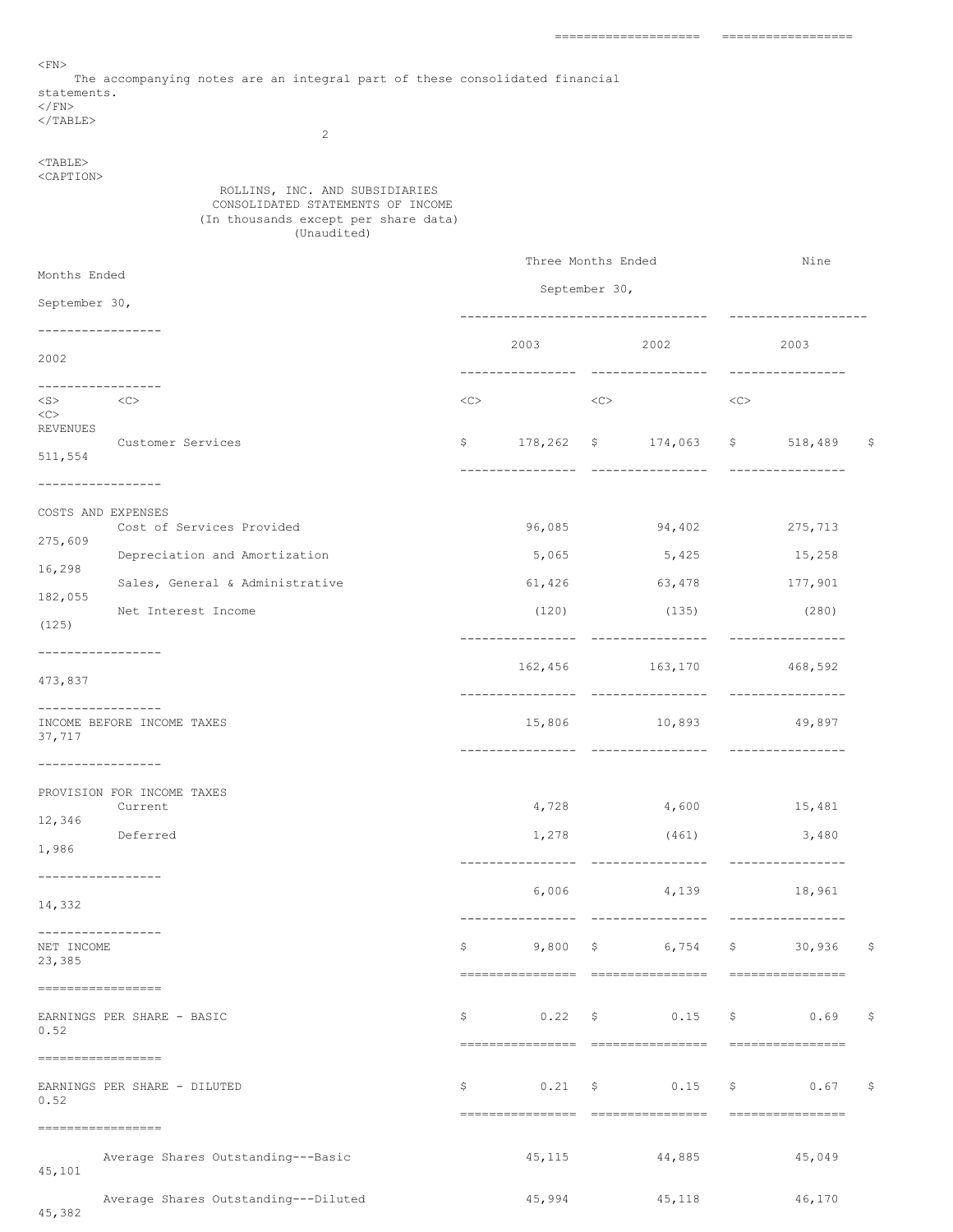${ <\hspace{-1.5pt}{\rm FN} \hspace{-1.5pt}>}$ The accompanying notes are an integral part of these consolidated financial statements.  $<$ / $FN$  $<$ /TABLE>  $\mathfrak{D}$ <TABLE> <CAPTION> ROLLINS, INC. AND SUBSIDIARIES CONSOLIDATED STATEMENTS OF INCOME (In thousands except per share data) (Unaudited) Three Months Ended Nine Months Ended September 30, September 30, ---------------------------------- ------------------- ----------------- 2003 2002 2003 2002 ---------------- ---------------- ---------------- ----------------- <S> <C> <C> <C> <C>  $<\subset>$ REVENUES Customer Services \$ 178,262 \$ 174,063 \$ 518,489 \$ 511,554 ---------------- ---------------- ---------------- ----------------- COSTS AND EXPENSES Cost of Services Provided 96,085 94,402 275,713 275,609 Depreciation and Amortization 6,065 5,065 5,425 15,258 16,298 Sales, General & Administrative 61,426 63,478 177,901 182,055 Net Interest Income (120) (135) (280) (125) ---------------- ---------------- ---------------- ----------------- 162,456 163,170 468,592 473,837 ---------------- ---------------- ---------------- ----------------- INCOME BEFORE INCOME TAXES 15,806 10,893 49,897 37,717 ---------------- ---------------- ---------------- ----------------- PROVISION FOR INCOME TAXES Current 15,481 **15,481** 12,346 Deferred 3,480 1,986 ---------------- ---------------- ---------------- ----------------- 6,006 4,139 18,961 14,332 ---------------- ---------------- ---------------- ----------------<br>NET INCOME  $$$  9,800 \$ 6,754 \$ 30,936 \$ 23,385 ================ ================ ================ ================= EARNINGS PER SHARE - BASIC \$ 0.22 \$ 0.15 \$ 0.69 \$ 0.52 ================ ================ ================ ================= EARNINGS PER SHARE - DILUTED  $$0.21 \t$ 0.15 \t$ 0.67 \t$ 0.67$ 0.52 ================ ================ ================ ================= Average Shares Outstanding---Basic  $45,115$   $44,885$   $45,049$ 45,101 Average Shares Outstanding---Diluted  $45,994$  45,118  $46,170$ 45,382

==================== ==================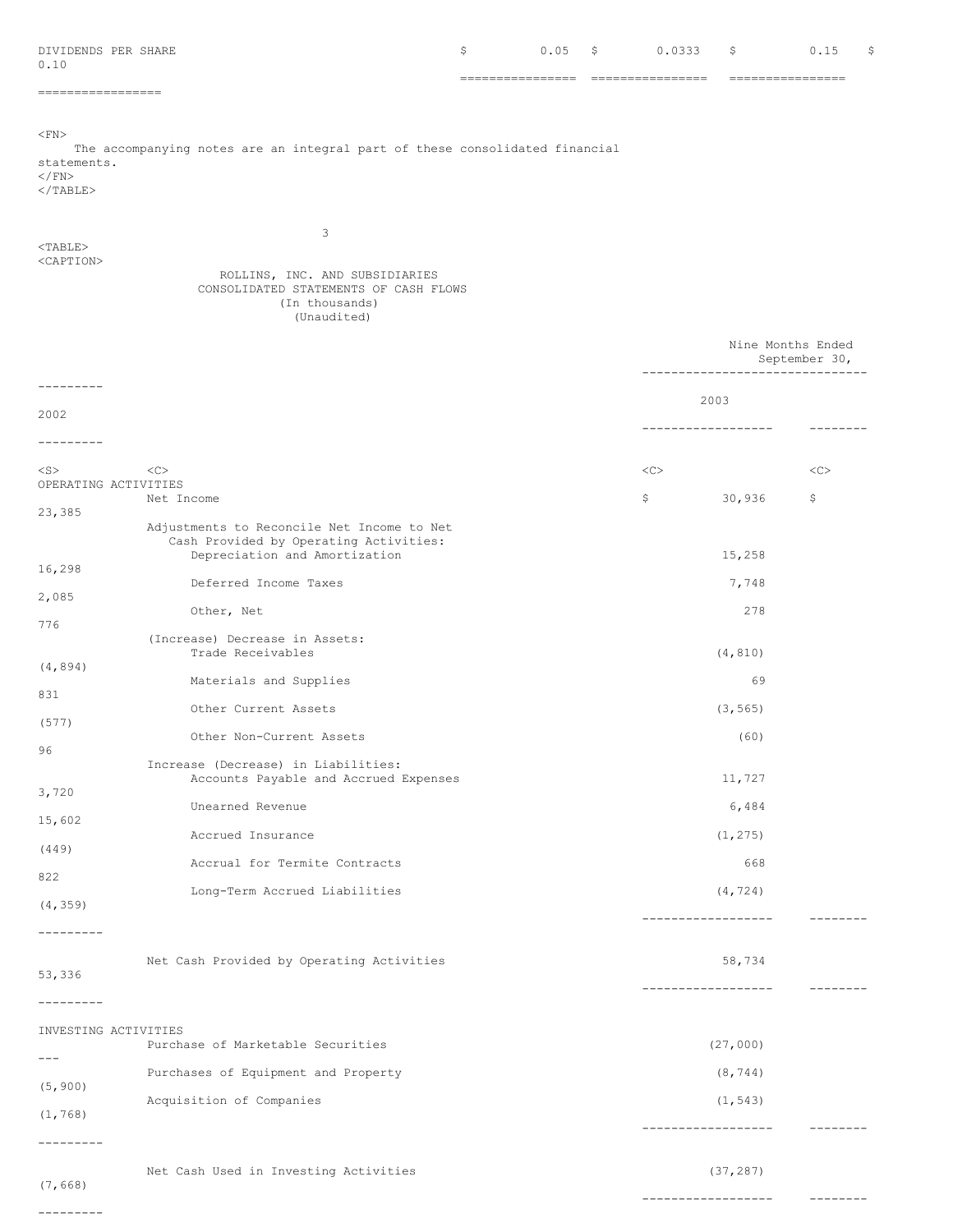| DIVIDENDS PER SHARE<br>0.10                        |                                                                                                          | \$<br>0.05 | \$<br>0.0333                        | \$               | 0.15                               |
|----------------------------------------------------|----------------------------------------------------------------------------------------------------------|------------|-------------------------------------|------------------|------------------------------------|
| =================                                  |                                                                                                          |            | =================================== |                  | ----------------                   |
| $<$ FN>                                            |                                                                                                          |            |                                     |                  |                                    |
| statements.<br>$\langle$ /FN><br>$\langle$ /TABLE> | The accompanying notes are an integral part of these consolidated financial                              |            |                                     |                  |                                    |
|                                                    | 3                                                                                                        |            |                                     |                  |                                    |
| $<$ TABLE $>$<br><caption></caption>               |                                                                                                          |            |                                     |                  |                                    |
|                                                    | ROLLINS, INC. AND SUBSIDIARIES<br>CONSOLIDATED STATEMENTS OF CASH FLOWS<br>(In thousands)<br>(Unaudited) |            |                                     |                  |                                    |
|                                                    |                                                                                                          |            |                                     |                  | Nine Months Ended<br>September 30, |
| . _ _ _ _ _ _ _ _                                  |                                                                                                          |            |                                     |                  | -------------------------------    |
| 2002                                               |                                                                                                          |            |                                     | 2003             |                                    |
| ---------                                          |                                                                                                          |            | ------------------                  |                  |                                    |
| $<$ S $>$<br>OPERATING ACTIVITIES                  | <<                                                                                                       |            | <<                                  |                  | <<                                 |
| 23,385                                             | Net Income                                                                                               |            | \$                                  | 30,936           | \$                                 |
|                                                    | Adjustments to Reconcile Net Income to Net<br>Cash Provided by Operating Activities:                     |            |                                     |                  |                                    |
| 16,298                                             | Depreciation and Amortization                                                                            |            |                                     | 15,258           |                                    |
| 2,085                                              | Deferred Income Taxes<br>Other, Net                                                                      |            |                                     | 7,748<br>278     |                                    |
| 776                                                | (Increase) Decrease in Assets:                                                                           |            |                                     |                  |                                    |
| (4, 894)                                           | Trade Receivables                                                                                        |            |                                     | (4, 810)         |                                    |
| 831                                                | Materials and Supplies                                                                                   |            |                                     | 69               |                                    |
| (577)                                              | Other Current Assets                                                                                     |            |                                     | (3, 565)         |                                    |
| 96                                                 | Other Non-Current Assets                                                                                 |            |                                     | (60)             |                                    |
|                                                    | Increase (Decrease) in Liabilities:<br>Accounts Payable and Accrued Expenses                             |            |                                     | 11,727           |                                    |
| 3,720                                              | Unearned Revenue                                                                                         |            |                                     | 6,484            |                                    |
| 15,602                                             | Accrued Insurance                                                                                        |            |                                     | (1, 275)         |                                    |
| (449)                                              | Accrual for Termite Contracts                                                                            |            |                                     | 668              |                                    |
| 822                                                | Long-Term Accrued Liabilities                                                                            |            |                                     | (4, 724)         |                                    |
| (4, 359)<br>--------                               |                                                                                                          |            | -------------------                 |                  | $- - - - - - - -$                  |
|                                                    | Net Cash Provided by Operating Activities                                                                |            |                                     | 58,734           |                                    |
| 53,336                                             |                                                                                                          |            |                                     | ---------------- | --------                           |
| ---------                                          |                                                                                                          |            |                                     |                  |                                    |
| INVESTING ACTIVITIES                               | Purchase of Marketable Securities                                                                        |            |                                     | (27,000)         |                                    |
| $---$                                              | Purchases of Equipment and Property                                                                      |            |                                     | (8, 744)         |                                    |
| (5, 900)                                           | Acquisition of Companies                                                                                 |            |                                     | (1, 543)         |                                    |
| (1, 768)                                           |                                                                                                          |            | ------------------                  |                  |                                    |
| . _ _ _ _ _ _ _ _                                  |                                                                                                          |            |                                     |                  |                                    |
| (7, 668)                                           | Net Cash Used in Investing Activities                                                                    |            |                                     | (37, 287)        |                                    |
| ---------                                          |                                                                                                          |            | ------------------                  |                  | --------                           |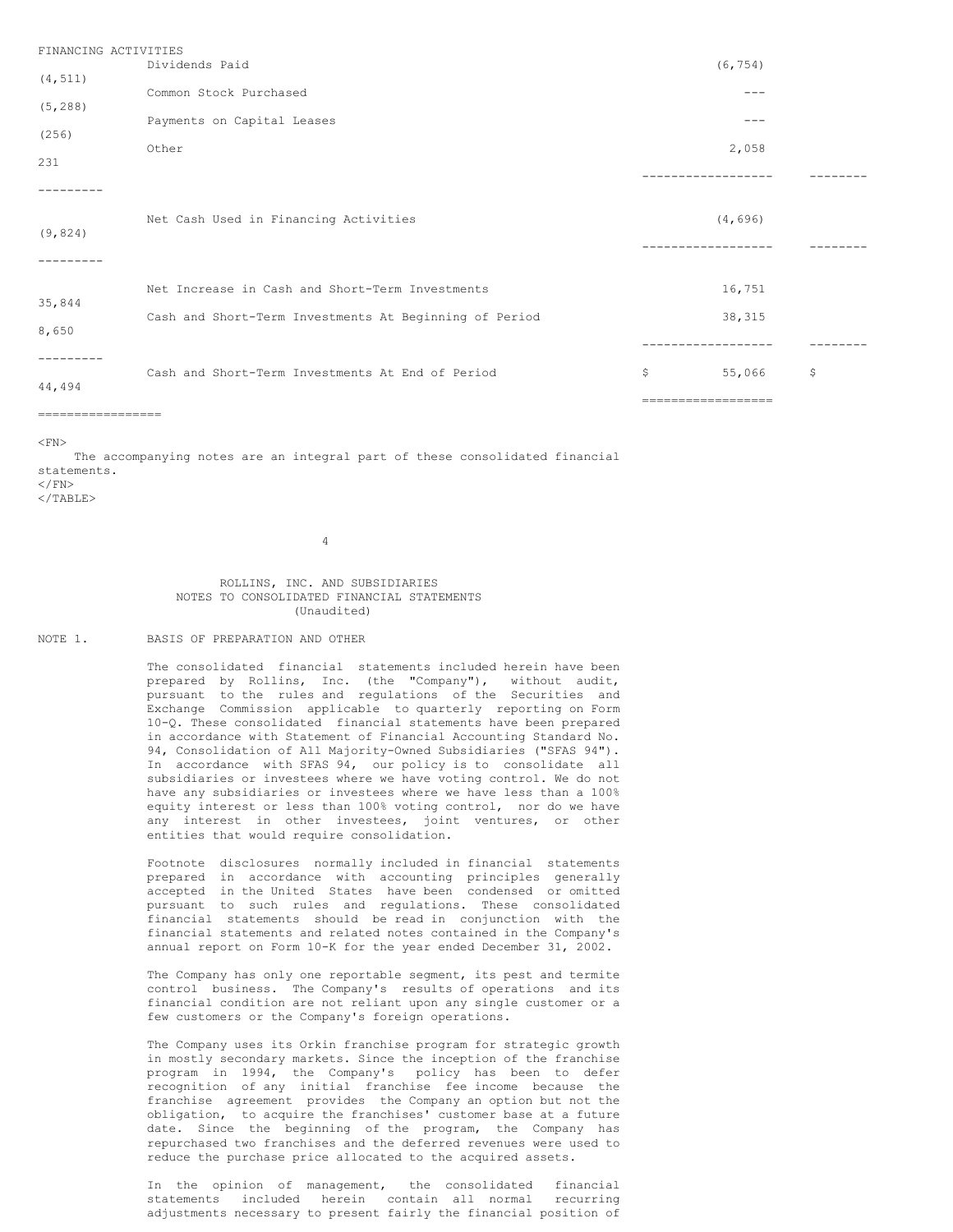| FINANCING ACTIVITIES |                                                        |              |    |
|----------------------|--------------------------------------------------------|--------------|----|
|                      | Dividends Paid                                         | (6, 754)     |    |
| (4, 511)             |                                                        |              |    |
|                      | Common Stock Purchased                                 |              |    |
| (5, 288)             |                                                        |              |    |
|                      | Payments on Capital Leases                             |              |    |
| (256)                |                                                        |              |    |
|                      | Other                                                  | 2,058        |    |
| 231                  |                                                        |              |    |
|                      |                                                        |              |    |
|                      |                                                        |              |    |
|                      |                                                        |              |    |
|                      | Net Cash Used in Financing Activities                  | (4, 696)     |    |
| (9, 824)             |                                                        |              |    |
|                      |                                                        |              |    |
|                      |                                                        |              |    |
|                      |                                                        |              |    |
|                      | Net Increase in Cash and Short-Term Investments        | 16,751       |    |
| 35,844               |                                                        |              |    |
|                      | Cash and Short-Term Investments At Beginning of Period | 38,315       |    |
| 8,650                |                                                        |              |    |
|                      |                                                        |              |    |
|                      |                                                        |              |    |
|                      | Cash and Short-Term Investments At End of Period       | \$<br>55,066 | \$ |
| 44,494               |                                                        |              |    |
|                      |                                                        |              |    |
| =================    |                                                        |              |    |

 $<$ FN $>$ 

The accompanying notes are an integral part of these consolidated financial statements.  $\langle$ /FN $>$ 

 $<$ /TABLE>

### ROLLINS, INC. AND SUBSIDIARIES NOTES TO CONSOLIDATED FINANCIAL STATEMENTS (Unaudited)

4

## NOTE 1. BASIS OF PREPARATION AND OTHER

The consolidated financial statements included herein have been prepared by Rollins, Inc. (the "Company"), without audit, pursuant to the rules and regulations of the Securities and Exchange Commission applicable to quarterly reporting on Form 10-Q. These consolidated financial statements have been prepared in accordance with Statement of Financial Accounting Standard No. 94, Consolidation of All Majority-Owned Subsidiaries ("SFAS 94"). In accordance with SFAS 94, our policy is to consolidate all subsidiaries or investees where we have voting control. We do not have any subsidiaries or investees where we have less than a 100% equity interest or less than 100% voting control, nor do we have any interest in other investees, joint ventures, or other entities that would require consolidation.

Footnote disclosures normally included in financial statements prepared in accordance with accounting principles generally accepted in the United States have been condensed or omitted pursuant to such rules and regulations. These consolidated financial statements should be read in conjunction with the financial statements and related notes contained in the Company's annual report on Form 10-K for the year ended December 31, 2002.

The Company has only one reportable segment, its pest and termite control business. The Company's results of operations and its financial condition are not reliant upon any single customer or a few customers or the Company's foreign operations.

The Company uses its Orkin franchise program for strategic growth in mostly secondary markets. Since the inception of the franchise program in 1994, the Company's policy has been to defer recognition of any initial franchise fee income because the franchise agreement provides the Company an option but not the obligation, to acquire the franchises' customer base at a future date. Since the beginning of the program, the Company has repurchased two franchises and the deferred revenues were used to reduce the purchase price allocated to the acquired assets.

In the opinion of management, the consolidated financial statements included herein contain all normal recurring adjustments necessary to present fairly the financial position of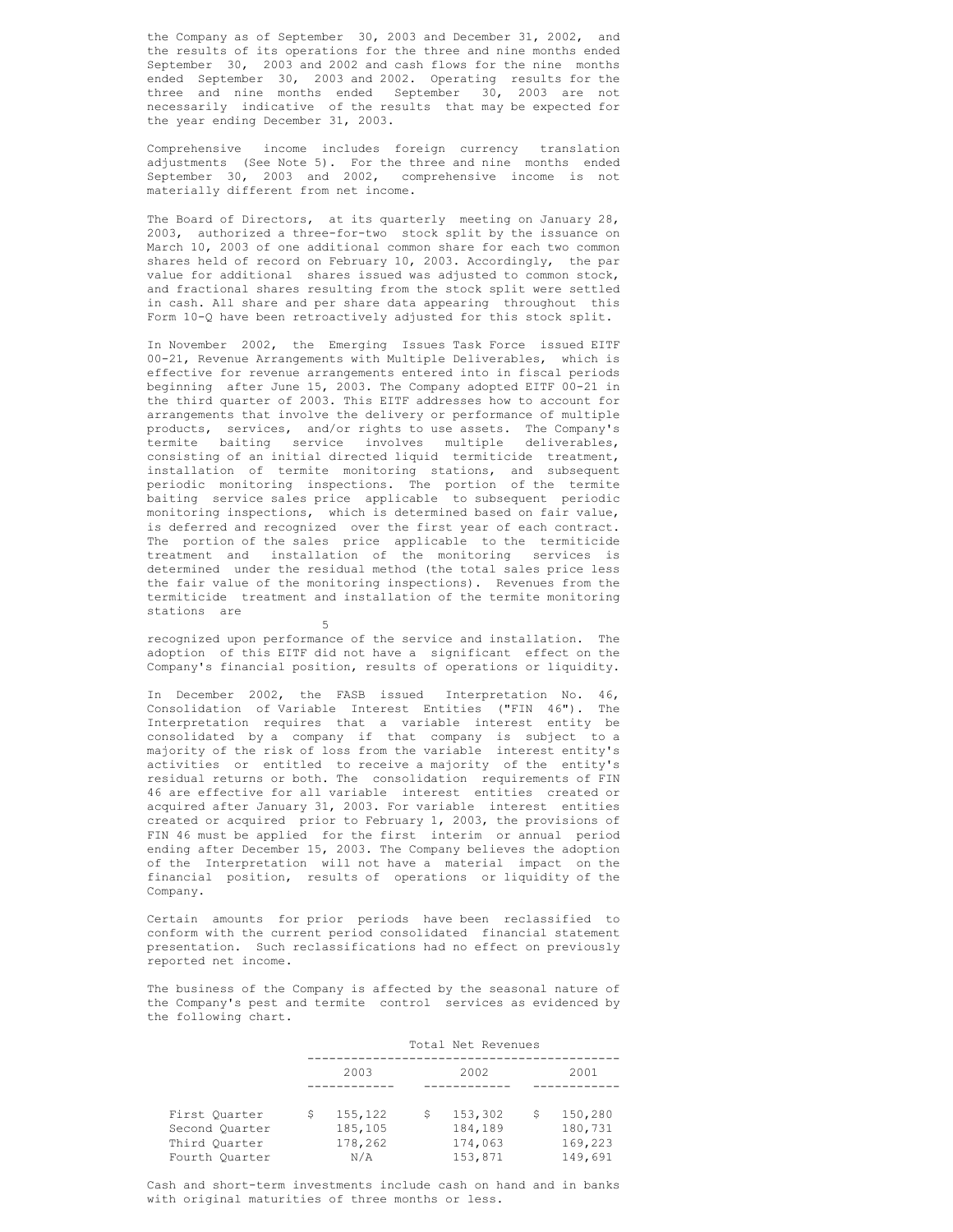the Company as of September 30, 2003 and December 31, 2002, and the results of its operations for the three and nine months ended September 30, 2003 and 2002 and cash flows for the nine months ended September 30, 2003 and 2002. Operating results for the three and nine months ended September 30, 2003 are not necessarily indicative of the results that may be expected for the year ending December 31, 2003.

Comprehensive income includes foreign currency translation adjustments (See Note 5). For the three and nine months ended September 30, 2003 and 2002, comprehensive income is not materially different from net income.

The Board of Directors, at its quarterly meeting on January 28, 2003, authorized a three-for-two stock split by the issuance on March 10, 2003 of one additional common share for each two common shares held of record on February 10, 2003. Accordingly, the par value for additional shares issued was adjusted to common stock, and fractional shares resulting from the stock split were settled in cash. All share and per share data appearing throughout this Form 10-Q have been retroactively adjusted for this stock split.

In November 2002, the Emerging Issues Task Force issued EITF 00-21, Revenue Arrangements with Multiple Deliverables, which is effective for revenue arrangements entered into in fiscal periods beginning after June 15, 2003. The Company adopted EITF 00-21 in the third quarter of 2003. This EITF addresses how to account for arrangements that involve the delivery or performance of multiple products, services, and/or rights to use assets. The Company's termite baiting service involves multiple consisting of an initial directed liquid termiticide treatment, installation of termite monitoring stations, and subsequent periodic monitoring inspections. The portion of the termite baiting service sales price applicable to subsequent periodic monitoring inspections, which is determined based on fair value, is deferred and recognized over the first year of each contract. The portion of the sales price applicable to the termiticide treatment and installation of the monitoring services is determined under the residual method (the total sales price less the fair value of the monitoring inspections). Revenues from the termiticide treatment and installation of the termite monitoring stations are

recognized upon performance of the service and installation. The adoption of this EITF did not have a significant effect on the Company's financial position, results of operations or liquidity.

5

In December 2002, the FASB issued Interpretation No. 46, Consolidation of Variable Interest Entities ("FIN 46"). The Interpretation requires that a variable interest entity be consolidated by a company if that company is subject to a majority of the risk of loss from the variable interest entity's activities or entitled to receive a majority of the entity's residual returns or both. The consolidation requirements of FIN 46 are effective for all variable interest entities created or acquired after January 31, 2003. For variable interest entities created or acquired prior to February 1, 2003, the provisions of FIN 46 must be applied for the first interim or annual period ending after December 15, 2003. The Company believes the adoption of the Interpretation will not have a material impact on the financial position, results of operations or liquidity of the Company.

Certain amounts for prior periods have been reclassified to conform with the current period consolidated financial statement presentation. Such reclassifications had no effect on previously reported net income.

The business of the Company is affected by the seasonal nature of the Company's pest and termite control services as evidenced by the following chart.

|                |   |         |   | Total Net Revenues |    |         |
|----------------|---|---------|---|--------------------|----|---------|
|                |   | 2003    |   | 2002               |    | 2001    |
|                |   |         |   |                    |    |         |
| First Ouarter  | S | 155,122 | S | 153,302            | S. | 150,280 |
| Second Ouarter |   | 185,105 |   | 184,189            |    | 180,731 |
| Third Ouarter  |   | 178,262 |   | 174,063            |    | 169,223 |
| Fourth Ouarter |   | N/A     |   | 153,871            |    | 149,691 |

Cash and short-term investments include cash on hand and in banks with original maturities of three months or less.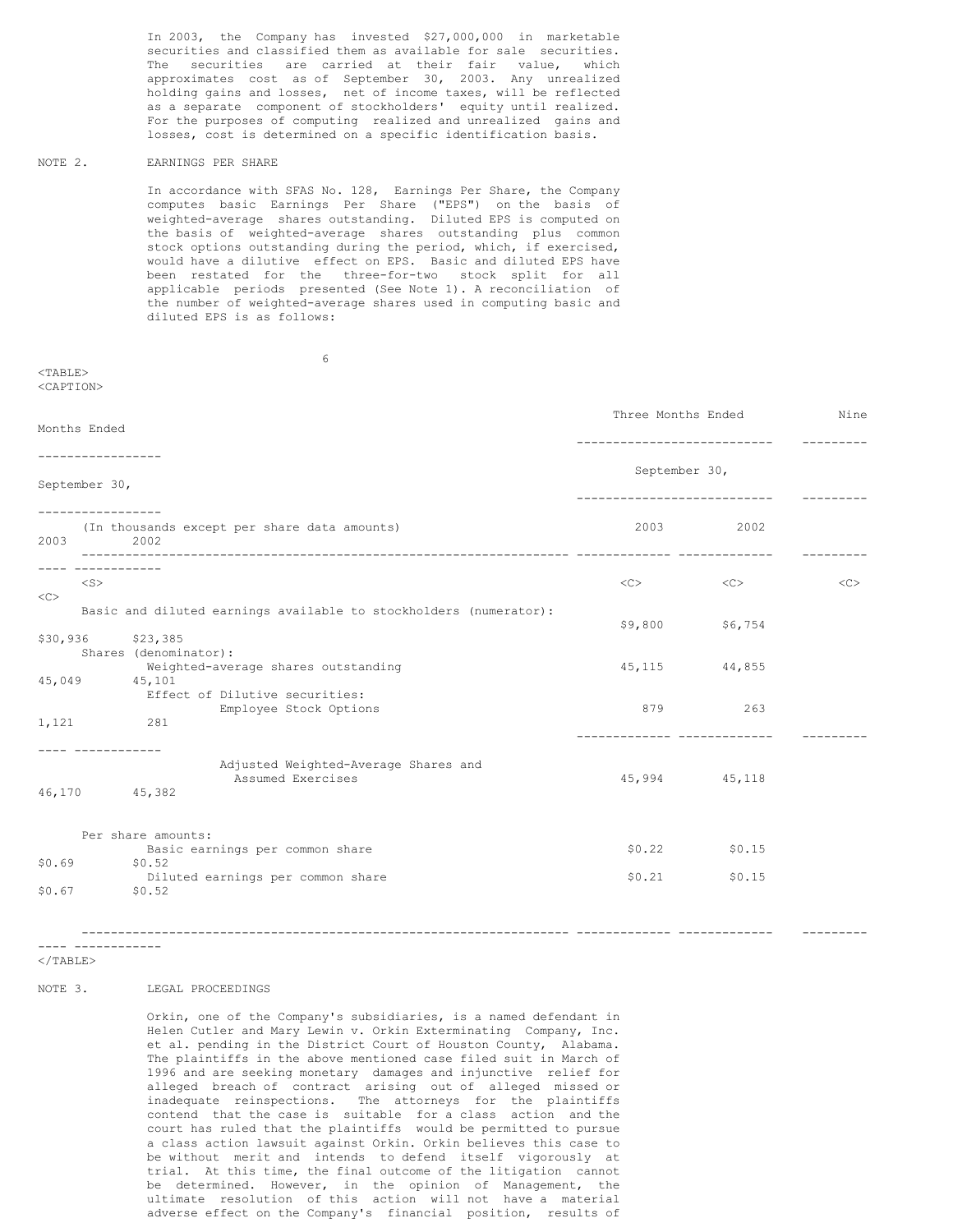In 2003, the Company has invested \$27,000,000 in marketable securities and classified them as available for sale securities. The securities are carried at their fair value, which approximates cost as of September 30, 2003. Any unrealized holding gains and losses, net of income taxes, will be reflected as a separate component of stockholders' equity until realized. For the purposes of computing realized and unrealized gains and losses, cost is determined on a specific identification basis.

## NOTE 2. EARNINGS PER SHARE

In accordance with SFAS No. 128, Earnings Per Share, the Company computes basic Earnings Per Share ("EPS") on the basis of weighted-average shares outstanding. Diluted EPS is computed on the basis of weighted-average shares outstanding plus common stock options outstanding during the period, which, if exercised, would have a dilutive effect on EPS. Basic and diluted EPS have been restated for the three-for-two stock split for all applicable periods presented (See Note 1). A reconciliation of the number of weighted-average shares used in computing basic and diluted EPS is as follows:

6

<TABLE> <CAPTION>

Three Months Ended Nine Months Ended --------------------------- --------- ----------------- September 30, September 30, --------------------------- --------- ----------------- (In thousands except per share data amounts) 2003 2002 2003 2002 ------------------------------------------------------------------- ------------- ------------- --------- ---- ------------ <S> <C> <C> <C>  $\langle C \rangle$ Basic and diluted earnings available to stockholders (numerator): \$9,800 \$6,754 \$30,936 \$23,385 Shares (denominator): Weighted-average shares outstanding and the set of the 45,115 44,855 45,049 45,101 Effect of Dilutive securities: Employee Stock Options 879 263 1,121 281 ------------- ------------- --------- ---- ------------ Adjusted Weighted-Average Shares and Assumed Exercises 45,994 45,118 46,170 45,382 Per share amounts: Basic earnings per common share \$0.22 \$0.15 \$0.69 \$0.52 Diluted earnings per common share \$0.21 \$0.15<br>\$0.52 \$0.52 \$0.67 ------------------------------------------------------------------- ------------- ------------- ---------

---- ------------

 $<$ /TABLE>

## NOTE 3. LEGAL PROCEEDINGS

Orkin, one of the Company's subsidiaries, is a named defendant in Helen Cutler and Mary Lewin v. Orkin Exterminating Company, Inc. et al. pending in the District Court of Houston County, Alabama. The plaintiffs in the above mentioned case filed suit in March of 1996 and are seeking monetary damages and injunctive relief for alleged breach of contract arising out of alleged missed or inadequate reinspections. The attorneys for the plaintiffs contend that the case is suitable for a class action and the court has ruled that the plaintiffs would be permitted to pursue a class action lawsuit against Orkin. Orkin believes this case to be without merit and intends to defend itself vigorously at trial. At this time, the final outcome of the litigation cannot be determined. However, in the opinion of Management, the ultimate resolution of this action will not have a material adverse effect on the Company's financial position, results of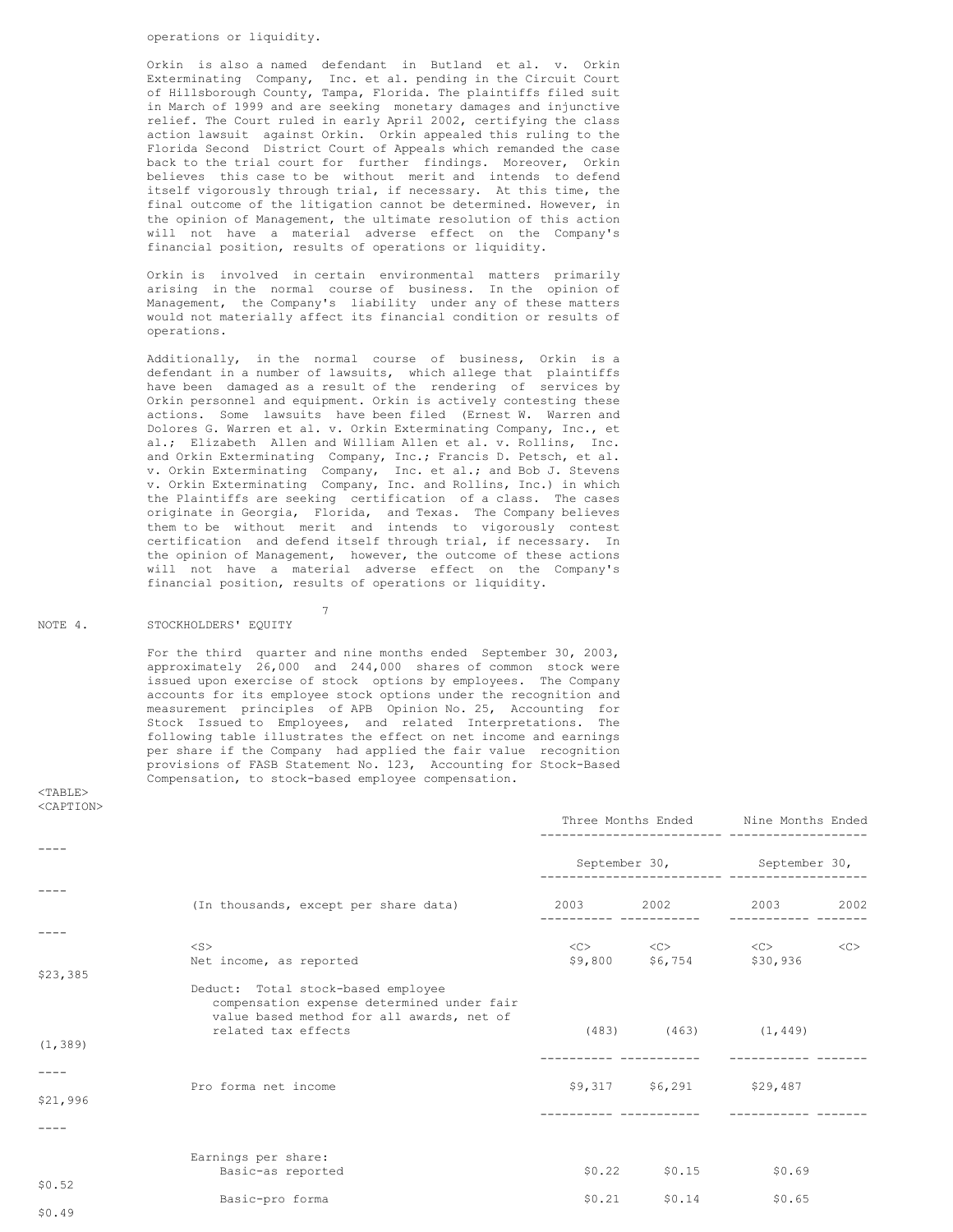operations or liquidity.

Orkin is also a named defendant in Butland et al. v. Orkin Exterminating Company, Inc. et al. pending in the Circuit Court of Hillsborough County, Tampa, Florida. The plaintiffs filed suit in March of 1999 and are seeking monetary damages and injunctive relief. The Court ruled in early April 2002, certifying the class action lawsuit against Orkin. Orkin appealed this ruling to the Florida Second District Court of Appeals which remanded the case back to the trial court for further findings. Moreover, Orkin believes this case to be without merit and intends to defend itself vigorously through trial, if necessary. At this time, the final outcome of the litigation cannot be determined. However, in the opinion of Management, the ultimate resolution of this action will not have a material adverse effect on the Company's financial position, results of operations or liquidity.

Orkin is involved in certain environmental matters primarily arising in the normal course of business. In the opinion of Management, the Company's liability under any of these matters would not materially affect its financial condition or results of operations.

Additionally, in the normal course of business, Orkin is a defendant in a number of lawsuits, which allege that plaintiffs have been damaged as a result of the rendering of services by Orkin personnel and equipment. Orkin is actively contesting these actions. Some lawsuits have been filed (Ernest W. Warren and Dolores G. Warren et al. v. Orkin Exterminating Company, Inc., et al.; Elizabeth Allen and William Allen et al. v. Rollins, Inc. and Orkin Exterminating Company, Inc.; Francis D. Petsch, et al. v. Orkin Exterminating Company, Inc. et al.; and Bob J. Stevens v. Orkin Exterminating Company, Inc. and Rollins, Inc.) in which the Plaintiffs are seeking certification of a class. The cases originate in Georgia, Florida, and Texas. The Company believes them to be without merit and intends to vigorously contest certification and defend itself through trial, if necessary. In the opinion of Management, however, the outcome of these actions will not have a material adverse effect on the Company's financial position, results of operations or liquidity.

#### NOTE 4. STOCKHOLDERS' EQUITY

 $<$ TABLE> <CAPTION>

\$0.49

For the third quarter and nine months ended September 30, 2003, approximately 26,000 and 244,000 shares of common stock were issued upon exercise of stock options by employees. The Company accounts for its employee stock options under the recognition and measurement principles of APB Opinion No. 25, Accounting for Stock Issued to Employees, and related Interpretations. The following table illustrates the effect on net income and earnings per share if the Company had applied the fair value recognition provisions of FASB Statement No. 123, Accounting for Stock-Based Compensation, to stock-based employee compensation.

7

Three Months Ended Nine Months Ended ------------------------- ------------------- ---- September 30, September 30, ------------------------- ------------------- ---- (In thousands, except per share data) 2003 2002 2003 2002 ---------- ----------- ----------- ------- ---- <S> <C> <C> <C> <C> Net income, as reported  $$9,800$   $$6,754$   $$30,936$ \$23,385 Deduct: Total stock-based employee compensation expense determined under fair value based method for all awards, net of  $related tax effects$  (483) (463) (1,449) (1,389) ---------- ----------- ----------- ------- ---- Pro forma net income  $$9,317$  \$6,291 \$29,487 \$21,996 ---------- ----------- ----------- ------- ---- Earnings per share:<br>Basic-as reported  $$0.22$   $$0.15$   $$0.69$ \$0.52 Basic-pro forma  $$0.21$   $$0.14$   $$0.65$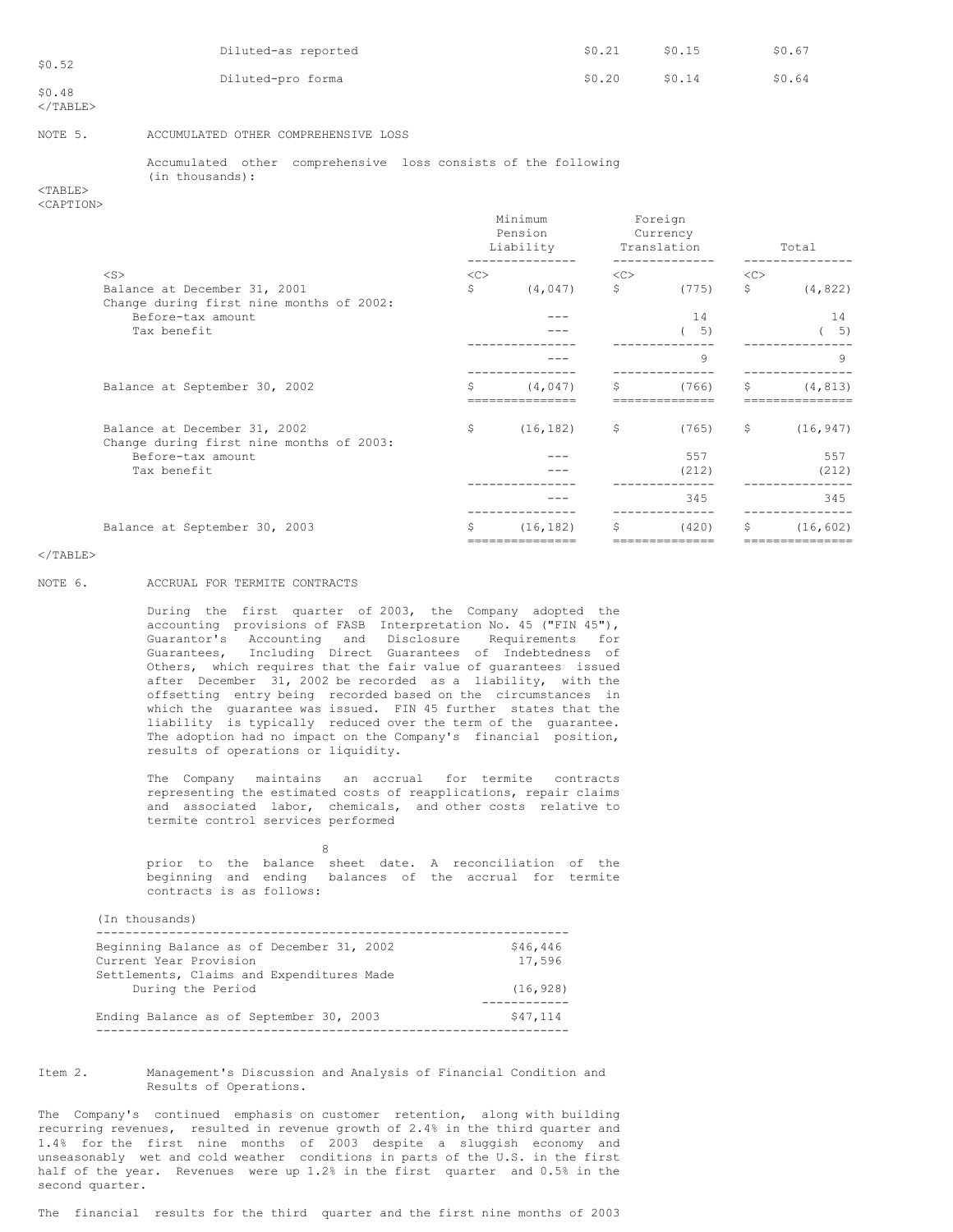| \$0.52 | Diluted-as reported | \$0.21 | \$0.15 | \$0.67 |
|--------|---------------------|--------|--------|--------|
|        | Diluted-pro forma   | \$0.20 | \$0.14 | \$0.64 |
| \$0.48 |                     |        |        |        |

</TABLE>

## NOTE 5. ACCUMULATED OTHER COMPREHENSIVE LOSS

Accumulated other comprehensive loss consists of the following (in thousands):

 $<$ TABLE> <CAPTION>

|                                                                              |     | Minimum<br>Pension<br>Liability |                  | Foreign<br>Currency<br>Translation |              | Total      |
|------------------------------------------------------------------------------|-----|---------------------------------|------------------|------------------------------------|--------------|------------|
| $<$ S $>$                                                                    | <<  |                                 | $<<$ $<$ $<$ $>$ |                                    | <<           |            |
| Balance at December 31, 2001                                                 | \$  | (4, 047)                        | \$               | (775)                              | \$           | (4, 822)   |
| Change during first nine months of 2002:<br>Before-tax amount<br>Tax benefit |     |                                 |                  | 14<br>5)                           |              | 14<br>- 5) |
|                                                                              |     |                                 |                  | 9                                  |              | 9          |
| Balance at September 30, 2002                                                | \$. | (4, 047)                        | \$               | (766)                              | S.           | (4, 813)   |
| Balance at December 31, 2002<br>Change during first nine months of 2003:     | \$  | (16, 182)                       | $\mathsf{S}$     | (765)                              | $\mathsf{S}$ | (16, 947)  |
| Before-tax amount                                                            |     |                                 |                  | 557                                |              | 557        |
| Tax benefit                                                                  |     |                                 |                  | (212)                              |              | (212)      |
|                                                                              |     |                                 |                  | 345                                |              | 345        |
| Balance at September 30, 2003                                                | S   | (16, 182)                       | \$               | (420)                              | S.           | (16, 602)  |
|                                                                              |     |                                 |                  |                                    |              |            |

## $<$ /TABLE>

# NOTE 6. ACCRUAL FOR TERMITE CONTRACTS

During the first quarter of 2003, the Company adopted the accounting provisions of FASB Interpretation No. 45 ("FIN 45"), Guarantor's Accounting and Disclosure Requirements for Guarantees, Including Direct Guarantees of Indebtedness of Others, which requires that the fair value of guarantees issued after December 31, 2002 be recorded as a liability, with the offsetting entry being recorded based on the circumstances in which the guarantee was issued. FIN 45 further states that the liability is typically reduced over the term of the guarantee. The adoption had no impact on the Company's financial position, results of operations or liquidity.

The Company maintains an accrual for termite contracts representing the estimated costs of reapplications, repair claims and associated labor, chemicals, and other costs relative to termite control services performed

8 prior to the balance sheet date. A reconciliation of the beginning and ending balances of the accrual for termite contracts is as follows:

(In thousands)

| Beginning Balance as of December 31, 2002 | \$46,446  |
|-------------------------------------------|-----------|
| Current Year Provision                    | 17.596    |
| Settlements, Claims and Expenditures Made |           |
| During the Period                         | (16, 928) |
|                                           |           |
| Ending Balance as of September 30, 2003   | \$47,114  |
|                                           |           |

Item 2. Management's Discussion and Analysis of Financial Condition and Results of Operations.

The Company's continued emphasis on customer retention, along with building recurring revenues, resulted in revenue growth of 2.4% in the third quarter and 1.4% for the first nine months of 2003 despite a sluggish economy and unseasonably wet and cold weather conditions in parts of the U.S. in the first half of the year. Revenues were up 1.2% in the first quarter and 0.5% in the second quarter.

The financial results for the third quarter and the first nine months of 2003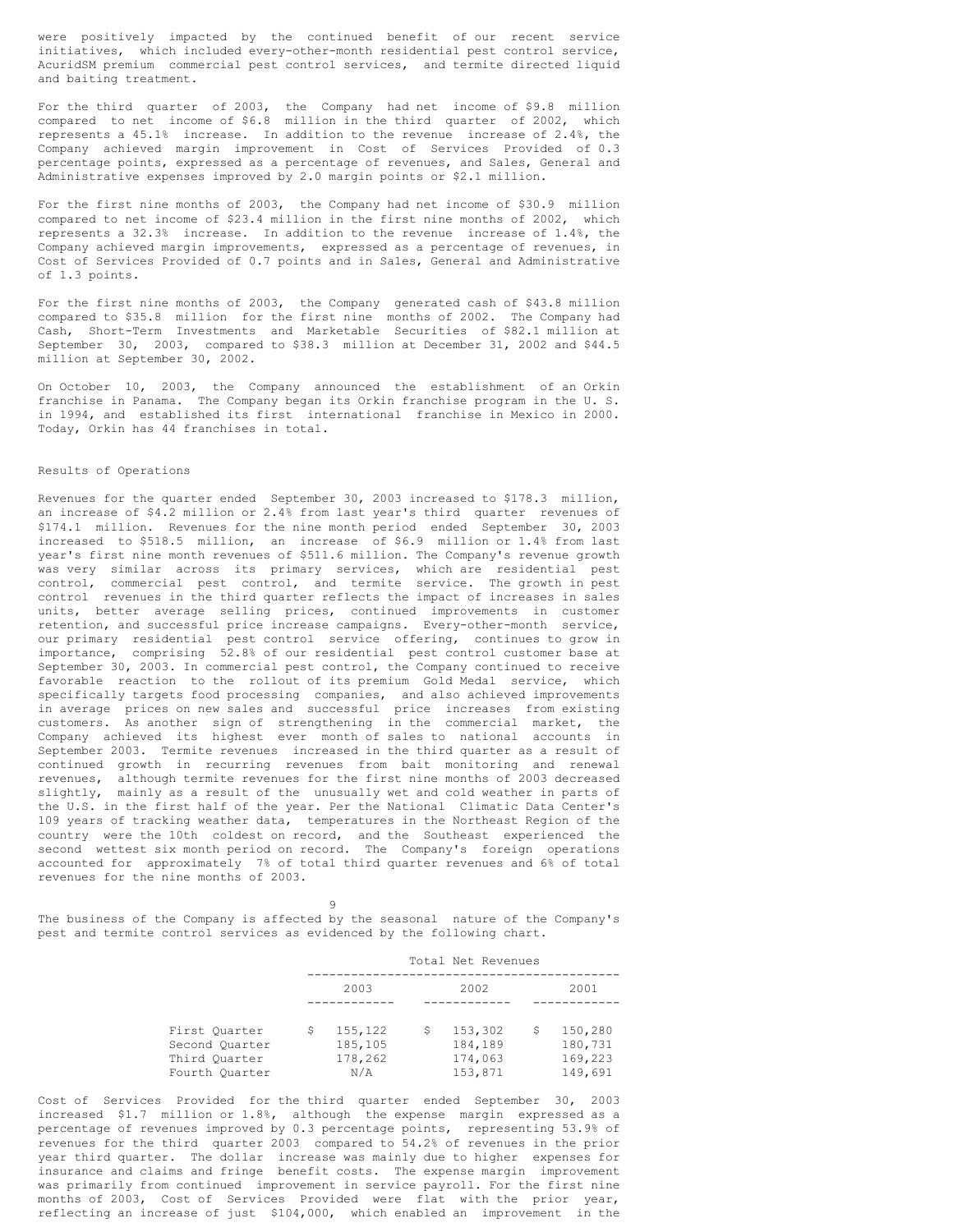were positively impacted by the continued benefit of our recent service initiatives, which included every-other-month residential pest control service, AcuridSM premium commercial pest control services, and termite directed liquid and baiting treatment.

For the third quarter of 2003, the Company had net income of \$9.8 million compared to net income of \$6.8 million in the third quarter of 2002, which represents a 45.1% increase. In addition to the revenue increase of 2.4%, the Company achieved margin improvement in Cost of Services Provided of 0.3 percentage points, expressed as a percentage of revenues, and Sales, General and Administrative expenses improved by 2.0 margin points or \$2.1 million.

For the first nine months of 2003, the Company had net income of \$30.9 million compared to net income of \$23.4 million in the first nine months of 2002, which represents a 32.3% increase. In addition to the revenue increase of 1.4%, the Company achieved margin improvements, expressed as a percentage of revenues, in Cost of Services Provided of 0.7 points and in Sales, General and Administrative of 1.3 points.

For the first nine months of 2003, the Company generated cash of \$43.8 million compared to \$35.8 million for the first nine months of 2002. The Company had Cash, Short-Term Investments and Marketable Securities of \$82.1 million at September 30, 2003, compared to \$38.3 million at December 31, 2002 and \$44.5 million at September 30, 2002.

On October 10, 2003, the Company announced the establishment of an Orkin franchise in Panama. The Company began its Orkin franchise program in the U. S. in 1994, and established its first international franchise in Mexico in 2000. Today, Orkin has 44 franchises in total.

#### Results of Operations

Revenues for the quarter ended September 30, 2003 increased to \$178.3 million, an increase of \$4.2 million or 2.4% from last year's third quarter revenues of \$174.1 million. Revenues for the nine month period ended September 30, 2003 increased to \$518.5 million, an increase of \$6.9 million or 1.4% from last year's first nine month revenues of \$511.6 million. The Company's revenue growth was very similar across its primary services, which are residential pest control, commercial pest control, and termite service. The growth in pest control revenues in the third quarter reflects the impact of increases in sales units, better average selling prices, continued improvements in customer retention, and successful price increase campaigns. Every-other-month service, our primary residential pest control service offering, continues to grow in importance, comprising 52.8% of our residential pest control customer base at September 30, 2003. In commercial pest control, the Company continued to receive favorable reaction to the rollout of its premium Gold Medal service, which specifically targets food processing companies, and also achieved improvements in average prices on new sales and successful price increases from existing customers. As another sign of strengthening in the commercial market, the Company achieved its highest ever month of sales to national accounts in September 2003. Termite revenues increased in the third quarter as a result of continued growth in recurring revenues from bait monitoring and renewal revenues, although termite revenues for the first nine months of 2003 decreased slightly, mainly as a result of the unusually wet and cold weather in parts of the U.S. in the first half of the year. Per the National Climatic Data Center's 109 years of tracking weather data, temperatures in the Northeast Region of the country were the 10th coldest on record, and the Southeast experienced the second wettest six month period on record. The Company's foreign operations accounted for approximately 7% of total third quarter revenues and 6% of total revenues for the nine months of 2003.

 $\alpha$ The business of the Company is affected by the seasonal nature of the Company's pest and termite control services as evidenced by the following chart.

|                |   |         |   | Total Net Revenues |   |         |
|----------------|---|---------|---|--------------------|---|---------|
|                |   | 2003    |   | 2002               |   | 2001    |
|                |   |         |   |                    |   |         |
| First Ouarter  | S | 155,122 | S | 153,302            | S | 150,280 |
| Second Ouarter |   | 185,105 |   | 184,189            |   | 180,731 |
| Third Ouarter  |   | 178,262 |   | 174,063            |   | 169,223 |
| Fourth Ouarter |   | N/A     |   | 153,871            |   | 149,691 |

Cost of Services Provided for the third quarter ended September 30, 2003 increased \$1.7 million or 1.8%, although the expense margin expressed as a percentage of revenues improved by 0.3 percentage points, representing 53.9% of revenues for the third quarter 2003 compared to 54.2% of revenues in the prior year third quarter. The dollar increase was mainly due to higher expenses for insurance and claims and fringe benefit costs. The expense margin improvement was primarily from continued improvement in service payroll. For the first nine months of 2003, Cost of Services Provided were flat with the prior year, reflecting an increase of just \$104,000, which enabled an improvement in the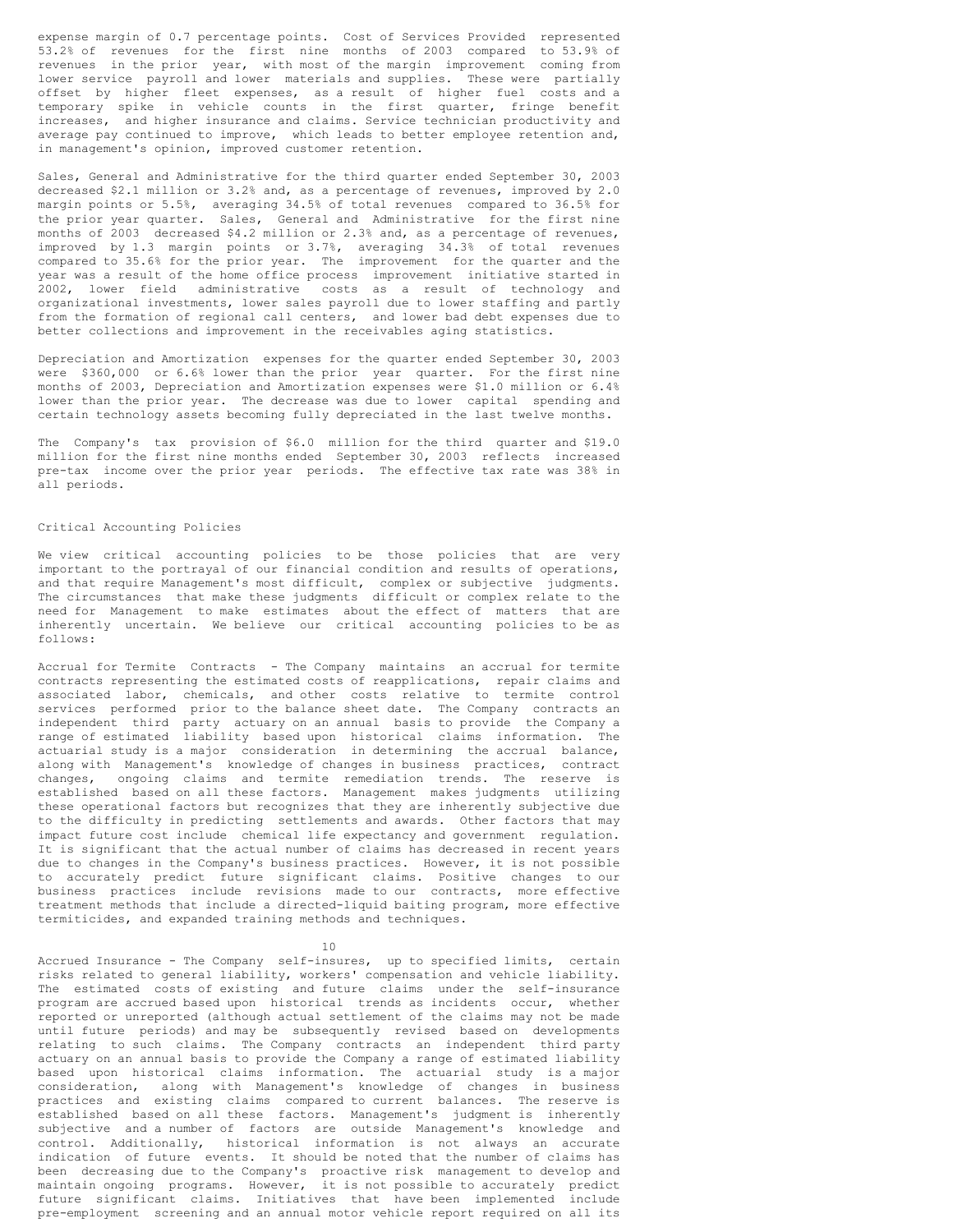expense margin of 0.7 percentage points. Cost of Services Provided represented 53.2% of revenues for the first nine months of 2003 compared to 53.9% of revenues in the prior year, with most of the margin improvement coming from lower service payroll and lower materials and supplies. These were partially offset by higher fleet expenses, as a result of higher fuel costs and a temporary spike in vehicle counts in the first quarter, fringe benefit increases, and higher insurance and claims. Service technician productivity and average pay continued to improve, which leads to better employee retention and, in management's opinion, improved customer retention.

Sales, General and Administrative for the third quarter ended September 30, 2003 decreased \$2.1 million or 3.2% and, as a percentage of revenues, improved by 2.0 margin points or 5.5%, averaging 34.5% of total revenues compared to 36.5% for the prior year quarter. Sales, General and Administrative for the first nine months of 2003 decreased \$4.2 million or 2.3% and, as a percentage of revenues, improved by 1.3 margin points or 3.7%, averaging 34.3% of total revenues compared to 35.6% for the prior year. The improvement for the quarter and the year was a result of the home office process improvement initiative started in 2002, lower field administrative costs as a result of technology and organizational investments, lower sales payroll due to lower staffing and partly from the formation of regional call centers, and lower bad debt expenses due to better collections and improvement in the receivables aging statistics.

Depreciation and Amortization expenses for the quarter ended September 30, 2003 were \$360,000 or 6.6% lower than the prior year quarter. For the first nine months of 2003, Depreciation and Amortization expenses were \$1.0 million or 6.4% lower than the prior year. The decrease was due to lower capital spending and certain technology assets becoming fully depreciated in the last twelve months.

The Company's tax provision of \$6.0 million for the third quarter and \$19.0 million for the first nine months ended September 30, 2003 reflects increased pre-tax income over the prior year periods. The effective tax rate was 38% in all periods.

### Critical Accounting Policies

We view critical accounting policies to be those policies that are very important to the portrayal of our financial condition and results of operations, and that require Management's most difficult, complex or subjective judgments. The circumstances that make these judgments difficult or complex relate to the need for Management to make estimates about the effect of matters that are inherently uncertain. We believe our critical accounting policies to be as follows:

Accrual for Termite Contracts - The Company maintains an accrual for termite contracts representing the estimated costs of reapplications, repair claims and associated labor, chemicals, and other costs relative to termite control services performed prior to the balance sheet date. The Company contracts an independent third party actuary on an annual basis to provide the Company a range of estimated liability based upon historical claims information. The actuarial study is a major consideration in determining the accrual balance, along with Management's knowledge of changes in business practices, contract changes, ongoing claims and termite remediation trends. The reserve is established based on all these factors. Management makes judgments utilizing these operational factors but recognizes that they are inherently subjective due to the difficulty in predicting settlements and awards. Other factors that may impact future cost include chemical life expectancy and government regulation. It is significant that the actual number of claims has decreased in recent years due to changes in the Company's business practices. However, it is not possible to accurately predict future significant claims. Positive changes to our business practices include revisions made to our contracts, more effective treatment methods that include a directed-liquid baiting program, more effective termiticides, and expanded training methods and techniques.

10

Accrued Insurance - The Company self-insures, up to specified limits, certain risks related to general liability, workers' compensation and vehicle liability. The estimated costs of existing and future claims under the self-insurance program are accrued based upon historical trends as incidents occur, whether reported or unreported (although actual settlement of the claims may not be made until future periods) and may be subsequently revised based on developments relating to such claims. The Company contracts an independent third party actuary on an annual basis to provide the Company a range of estimated liability based upon historical claims information. The actuarial study is a major consideration, along with Management's knowledge of changes in business practices and existing claims compared to current balances. The reserve is established based on all these factors. Management's judgment is inherently subjective and a number of factors are outside Management's knowledge and control. Additionally, historical information is not always an accurate indication of future events. It should be noted that the number of claims has been decreasing due to the Company's proactive risk management to develop and maintain ongoing programs. However, it is not possible to accurately predict future significant claims. Initiatives that have been implemented include pre-employment screening and an annual motor vehicle report required on all its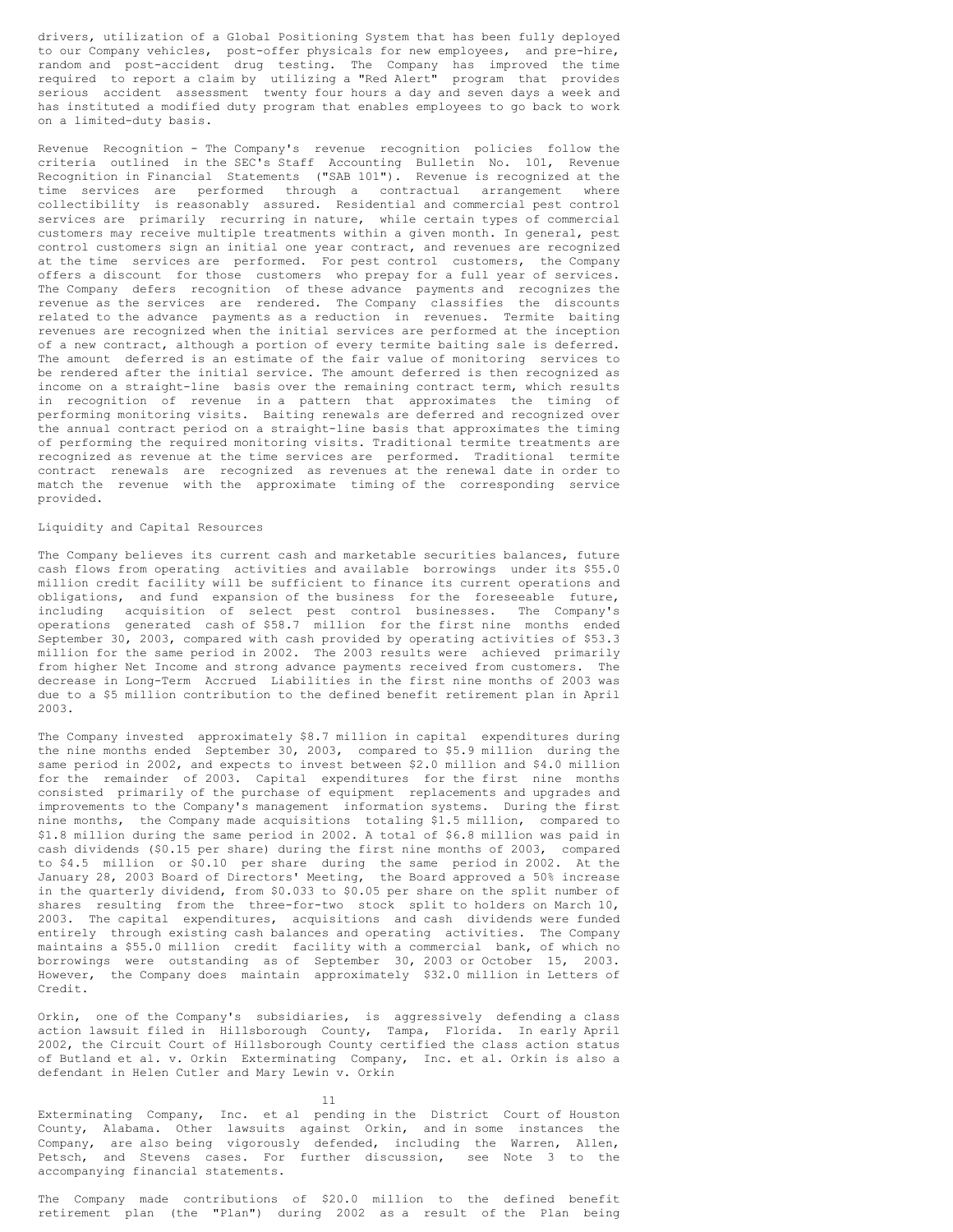drivers, utilization of a Global Positioning System that has been fully deployed to our Company vehicles, post-offer physicals for new employees, and pre-hire, random and post-accident drug testing. The Company has improved the time required to report a claim by utilizing a "Red Alert" program that provides serious accident assessment twenty four hours a day and seven days a week and has instituted a modified duty program that enables employees to go back to work on a limited-duty basis.

Revenue Recognition - The Company's revenue recognition policies follow the criteria outlined in the SEC's Staff Accounting Bulletin No. 101, Revenue Recognition in Financial Statements ("SAB 101"). Revenue is recognized at the time services are performed through a contractual arrangement where collectibility is reasonably assured. Residential and commercial pest control services are primarily recurring in nature, while certain types of commercial customers may receive multiple treatments within a given month. In general, pest control customers sign an initial one year contract, and revenues are recognized at the time services are performed. For pest control customers, the Company offers a discount for those customers who prepay for a full year of services. The Company defers recognition of these advance payments and recognizes the revenue as the services are rendered. The Company classifies the discounts related to the advance payments as a reduction in revenues. Termite baiting revenues are recognized when the initial services are performed at the inception of a new contract, although a portion of every termite baiting sale is deferred. The amount deferred is an estimate of the fair value of monitoring services to be rendered after the initial service. The amount deferred is then recognized as income on a straight-line basis over the remaining contract term, which results in recognition of revenue in a pattern that approximates the timing of performing monitoring visits. Baiting renewals are deferred and recognized over the annual contract period on a straight-line basis that approximates the timing of performing the required monitoring visits. Traditional termite treatments are recognized as revenue at the time services are performed. Traditional termite contract renewals are recognized as revenues at the renewal date in order to match the revenue with the approximate timing of the corresponding service provided.

### Liquidity and Capital Resources

The Company believes its current cash and marketable securities balances, future cash flows from operating activities and available borrowings under its \$55.0 million credit facility will be sufficient to finance its current operations and obligations, and fund expansion of the business for the foreseeable future, including acquisition of select pest control businesses. The Company's operations generated cash of \$58.7 million for the first nine months ended September 30, 2003, compared with cash provided by operating activities of \$53.3 million for the same period in 2002. The 2003 results were achieved primarily from higher Net Income and strong advance payments received from customers. The decrease in Long-Term Accrued Liabilities in the first nine months of 2003 was due to a \$5 million contribution to the defined benefit retirement plan in April 2003.

The Company invested approximately \$8.7 million in capital expenditures during the nine months ended September 30, 2003, compared to \$5.9 million during the same period in 2002, and expects to invest between \$2.0 million and \$4.0 million for the remainder of 2003. Capital expenditures for the first nine months consisted primarily of the purchase of equipment replacements and upgrades and improvements to the Company's management information systems. During the first nine months, the Company made acquisitions totaling \$1.5 million, compared to \$1.8 million during the same period in 2002. A total of \$6.8 million was paid in cash dividends (\$0.15 per share) during the first nine months of 2003, compared to \$4.5 million or \$0.10 per share during the same period in 2002. At the January 28, 2003 Board of Directors' Meeting, the Board approved a 50% increase in the quarterly dividend, from \$0.033 to \$0.05 per share on the split number of shares resulting from the three-for-two stock split to holders on March 10, 2003. The capital expenditures, acquisitions and cash dividends were funded entirely through existing cash balances and operating activities. The Company maintains a \$55.0 million credit facility with a commercial bank, of which no borrowings were outstanding as of September 30, 2003 or October 15, 2003. However, the Company does maintain approximately \$32.0 million in Letters of Credit.

Orkin, one of the Company's subsidiaries, is aggressively defending a class action lawsuit filed in Hillsborough County, Tampa, Florida. In early April 2002, the Circuit Court of Hillsborough County certified the class action status of Butland et al. v. Orkin Exterminating Company, Inc. et al. Orkin is also a defendant in Helen Cutler and Mary Lewin v. Orkin

11

Exterminating Company, Inc. et al pending in the District Court of Houston County, Alabama. Other lawsuits against Orkin, and in some instances the Company, are also being vigorously defended, including the Warren, Allen, Petsch, and Stevens cases. For further discussion, see Note 3 to the accompanying financial statements.

The Company made contributions of \$20.0 million to the defined benefit retirement plan (the "Plan") during 2002 as a result of the Plan being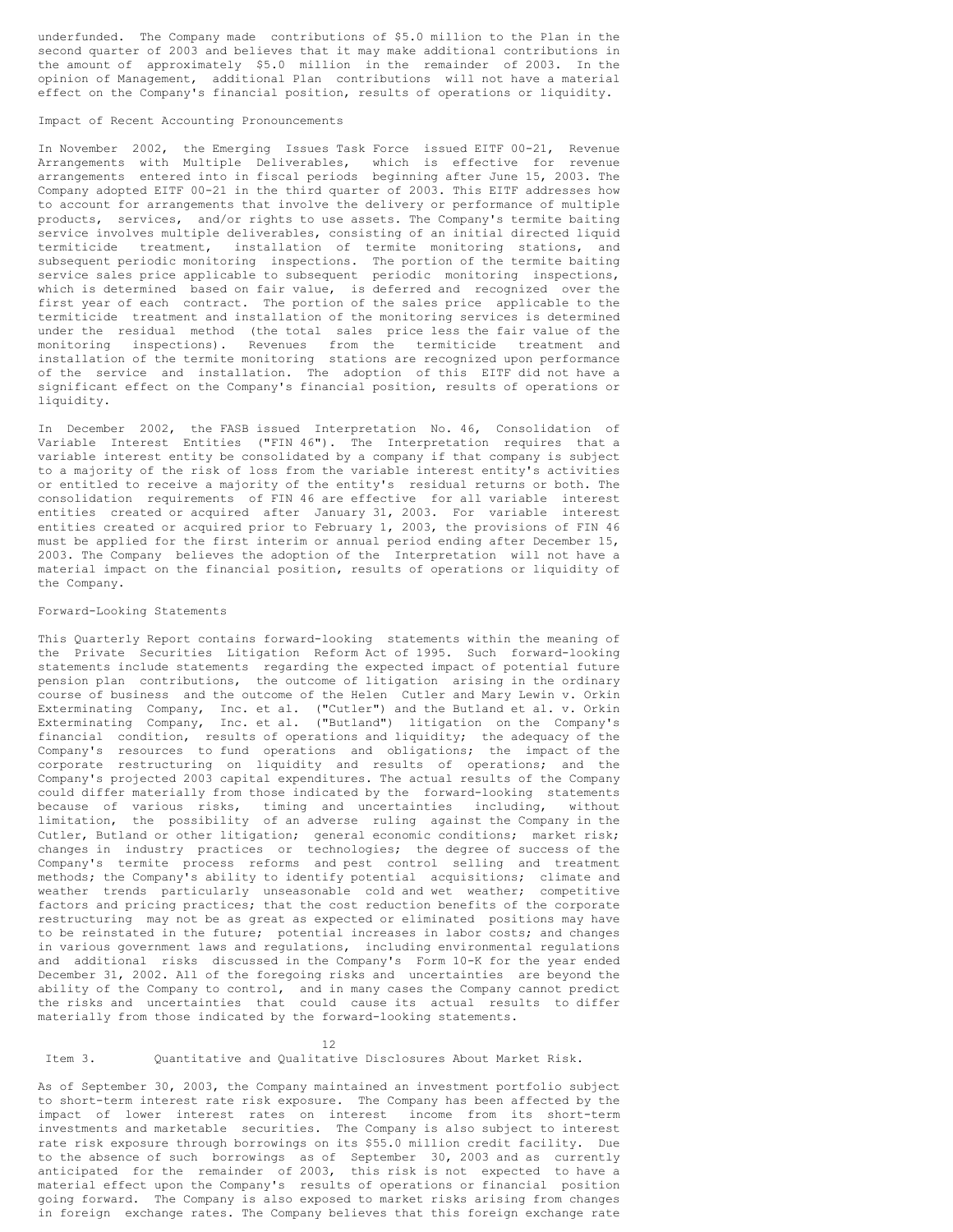underfunded. The Company made contributions of \$5.0 million to the Plan in the second quarter of 2003 and believes that it may make additional contributions in the amount of approximately \$5.0 million in the remainder of 2003. In the opinion of Management, additional Plan contributions will not have a material effect on the Company's financial position, results of operations or liquidity.

### Impact of Recent Accounting Pronouncements

In November 2002, the Emerging Issues Task Force issued EITF 00-21, Revenue Arrangements with Multiple Deliverables, which is effective for revenue arrangements entered into in fiscal periods beginning after June 15, 2003. The Company adopted EITF 00-21 in the third quarter of 2003. This EITF addresses how to account for arrangements that involve the delivery or performance of multiple products, services, and/or rights to use assets. The Company's termite baiting service involves multiple deliverables, consisting of an initial directed liquid termiticide treatment, installation of termite monitoring stations, and subsequent periodic monitoring inspections. The portion of the termite baiting service sales price applicable to subsequent periodic monitoring inspections, which is determined based on fair value, is deferred and recognized over the first year of each contract. The portion of the sales price applicable to the termiticide treatment and installation of the monitoring services is determined under the residual method (the total sales price less the fair value of the monitoring inspections). Revenues from the termiticide treatment and installation of the termite monitoring stations are recognized upon performance of the service and installation. The adoption of this EITF did not have a significant effect on the Company's financial position, results of operations or liquidity.

In December 2002, the FASB issued Interpretation No. 46, Consolidation of Variable Interest Entities ("FIN 46"). The Interpretation requires that a variable interest entity be consolidated by a company if that company is subject to a majority of the risk of loss from the variable interest entity's activities or entitled to receive a majority of the entity's residual returns or both. The consolidation requirements of FIN 46 are effective for all variable interest entities created or acquired after January 31, 2003. For variable interest entities created or acquired prior to February 1, 2003, the provisions of FIN 46 must be applied for the first interim or annual period ending after December 15, 2003. The Company believes the adoption of the Interpretation will not have a material impact on the financial position, results of operations or liquidity of the Company.

#### Forward-Looking Statements

This Quarterly Report contains forward-looking statements within the meaning of the Private Securities Litigation Reform Act of 1995. Such forward-looking statements include statements regarding the expected impact of potential future pension plan contributions, the outcome of litigation arising in the ordinary course of business and the outcome of the Helen Cutler and Mary Lewin v. Orkin Exterminating Company, Inc. et al. ("Cutler") and the Butland et al. v. Orkin Exterminating Company, Inc. et al. ("Butland") litigation on the Company's financial condition, results of operations and liquidity; the adequacy of the Company's resources to fund operations and obligations; the impact of the corporate restructuring on liquidity and results of operations; and the Company's projected 2003 capital expenditures. The actual results of the Company could differ materially from those indicated by the forward-looking statements because of various risks, timing and uncertainties including, without limitation, the possibility of an adverse ruling against the Company in the Cutler, Butland or other litigation; general economic conditions; market risk; changes in industry practices or technologies; the degree of success of the Company's termite process reforms and pest control selling and treatment methods; the Company's ability to identify potential acquisitions; climate and weather trends particularly unseasonable cold and wet weather; competitive factors and pricing practices; that the cost reduction benefits of the corporate restructuring may not be as great as expected or eliminated positions may have to be reinstated in the future; potential increases in labor costs; and changes in various government laws and regulations, including environmental regulations and additional risks discussed in the Company's Form 10-K for the year ended December 31, 2002. All of the foregoing risks and uncertainties are beyond the ability of the Company to control, and in many cases the Company cannot predict the risks and uncertainties that could cause its actual results to differ materially from those indicated by the forward-looking statements.

#### 12

# Item 3. Quantitative and Qualitative Disclosures About Market Risk.

As of September 30, 2003, the Company maintained an investment portfolio subject to short-term interest rate risk exposure. The Company has been affected by the impact of lower interest rates on interest income from its short-term investments and marketable securities. The Company is also subject to interest rate risk exposure through borrowings on its \$55.0 million credit facility. Due to the absence of such borrowings as of September 30, 2003 and as currently anticipated for the remainder of 2003, this risk is not expected to have a material effect upon the Company's results of operations or financial position going forward. The Company is also exposed to market risks arising from changes in foreign exchange rates. The Company believes that this foreign exchange rate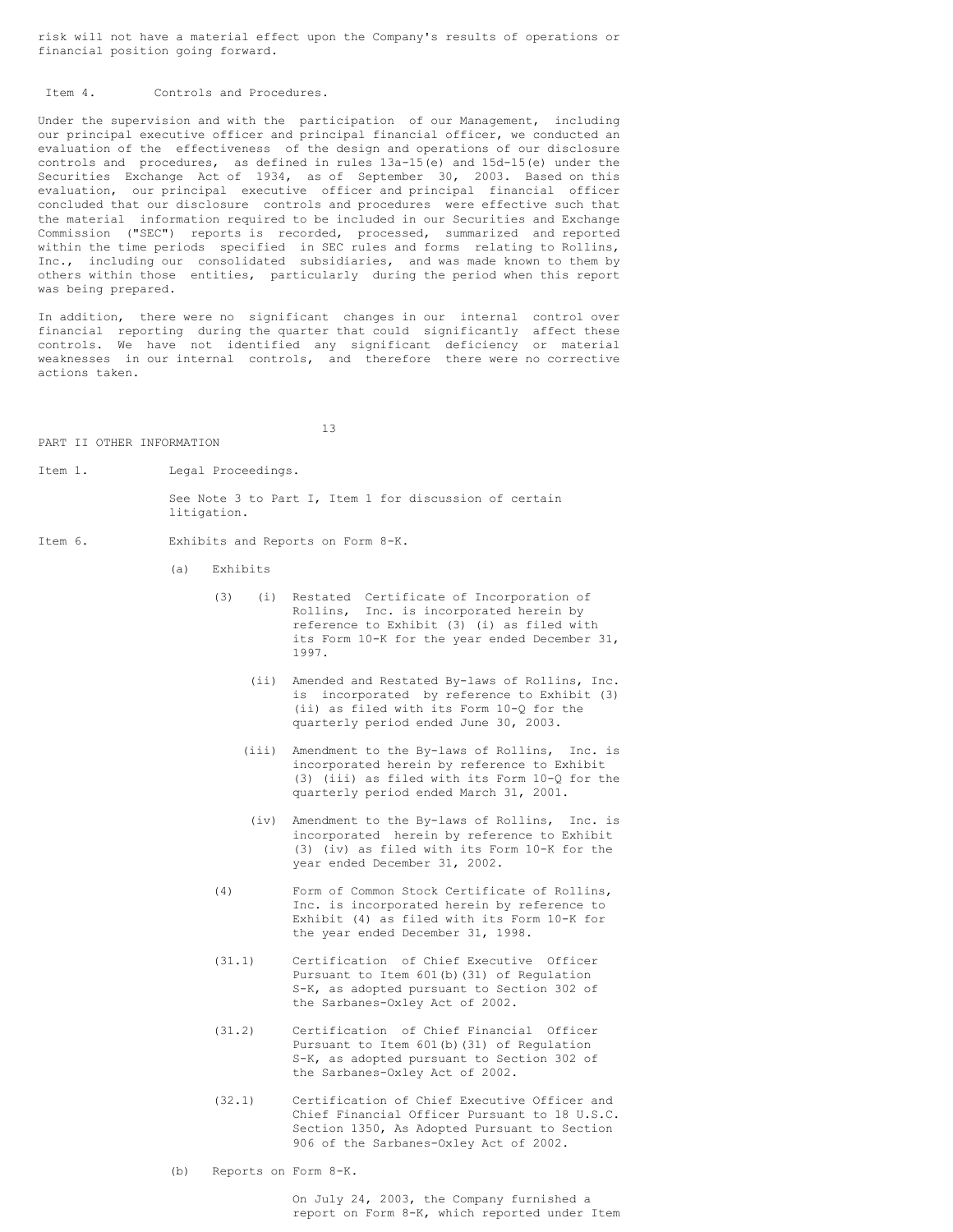risk will not have a material effect upon the Company's results of operations or financial position going forward.

#### Item 4. Controls and Procedures.

Under the supervision and with the participation of our Management, including our principal executive officer and principal financial officer, we conducted an evaluation of the effectiveness of the design and operations of our disclosure controls and procedures, as defined in rules 13a-15(e) and 15d-15(e) under the Securities Exchange Act of 1934, as of September 30, 2003. Based on this evaluation, our principal executive officer and principal financial officer concluded that our disclosure controls and procedures were effective such that the material information required to be included in our Securities and Exchange Commission ("SEC") reports is recorded, processed, summarized and reported within the time periods specified in SEC rules and forms relating to Rollins, Inc., including our consolidated subsidiaries, and was made known to them by others within those entities, particularly during the period when this report was being prepared.

In addition, there were no significant changes in our internal control over financial reporting during the quarter that could significantly affect these controls. We have not identified any significant deficiency or material weaknesses in our internal controls, and therefore there were no corrective actions taken.

13

PART II OTHER INFORMATION

Item 1. Legal Proceedings.

See Note 3 to Part I, Item 1 for discussion of certain litigation.

- Item 6. Exhibits and Reports on Form 8-K.
	- (a) Exhibits
		- (3) (i) Restated Certificate of Incorporation of Rollins, Inc. is incorporated herein by reference to Exhibit (3) (i) as filed with its Form 10-K for the year ended December 31, 1997.
			- (ii) Amended and Restated By-laws of Rollins, Inc. is incorporated by reference to Exhibit (3) (ii) as filed with its Form 10-Q for the quarterly period ended June 30, 2003.
			- (iii) Amendment to the By-laws of Rollins, Inc. is incorporated herein by reference to Exhibit (3) (iii) as filed with its Form 10-Q for the quarterly period ended March 31, 2001.
			- (iv) Amendment to the By-laws of Rollins, Inc. is incorporated herein by reference to Exhibit (3) (iv) as filed with its Form 10-K for the year ended December 31, 2002.
		- (4) Form of Common Stock Certificate of Rollins, Inc. is incorporated herein by reference to Exhibit (4) as filed with its Form 10-K for the year ended December 31, 1998.
		- (31.1) Certification of Chief Executive Officer Pursuant to Item 601(b)(31) of Regulation S-K, as adopted pursuant to Section 302 of the Sarbanes-Oxley Act of 2002.
		- (31.2) Certification of Chief Financial Officer Pursuant to Item 601(b)(31) of Regulation S-K, as adopted pursuant to Section 302 of the Sarbanes-Oxley Act of 2002.
		- (32.1) Certification of Chief Executive Officer and Chief Financial Officer Pursuant to 18 U.S.C. Section 1350, As Adopted Pursuant to Section 906 of the Sarbanes-Oxley Act of 2002.
	- (b) Reports on Form 8-K.

On July 24, 2003, the Company furnished a report on Form 8-K, which reported under Item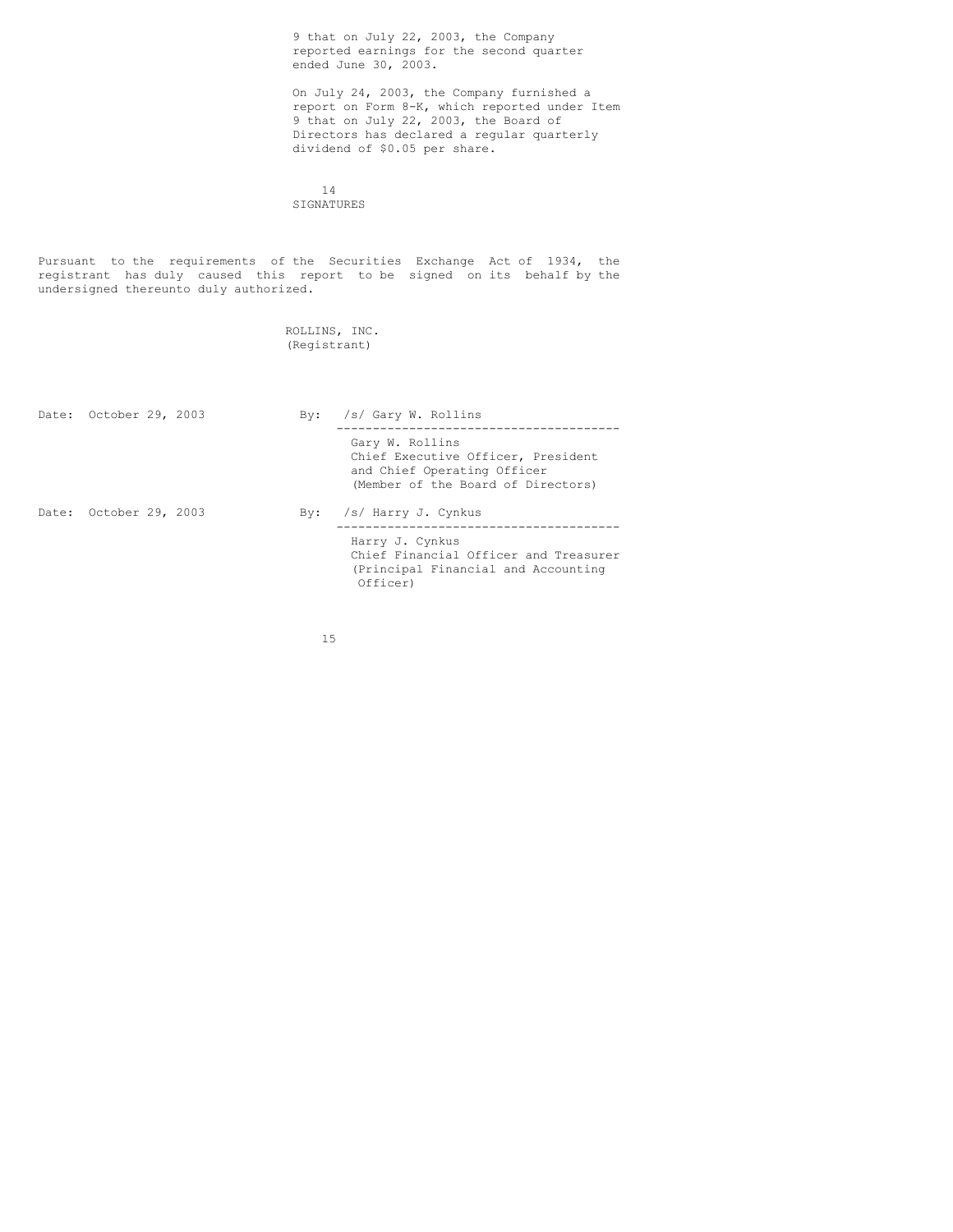|                        |                                        |                               | 9 that on July 22, 2003, the Company<br>reported earnings for the second quarter<br>ended June 30, 2003.                                                                                                           |
|------------------------|----------------------------------------|-------------------------------|--------------------------------------------------------------------------------------------------------------------------------------------------------------------------------------------------------------------|
|                        |                                        |                               | On July 24, 2003, the Company furnished a<br>report on Form 8-K, which reported under Item<br>9 that on July 22, 2003, the Board of<br>Directors has declared a regular quarterly<br>dividend of \$0.05 per share. |
|                        |                                        | 14<br>SIGNATURES              |                                                                                                                                                                                                                    |
|                        | undersigned thereunto duly authorized. |                               | Pursuant to the requirements of the Securities Exchange Act of 1934, the<br>registrant has duly caused this report to be signed on its behalf by the                                                               |
|                        |                                        | ROLLINS, INC.<br>(Registrant) |                                                                                                                                                                                                                    |
| Date: October 29, 2003 |                                        |                               | By: /s/ Gary W. Rollins                                                                                                                                                                                            |
|                        |                                        |                               | Gary W. Rollins<br>Chief Executive Officer, President<br>and Chief Operating Officer<br>(Member of the Board of Directors)                                                                                         |
| Date: October 29, 2003 |                                        | $\mathbb{B}\vee$ :            | /s/ Harry J. Cynkus                                                                                                                                                                                                |
|                        |                                        |                               | . <u>.</u> .<br>Harry J. Cynkus<br>Chief Financial Officer and Treasurer<br>(Principal Financial and Accounting<br>Officer)                                                                                        |

15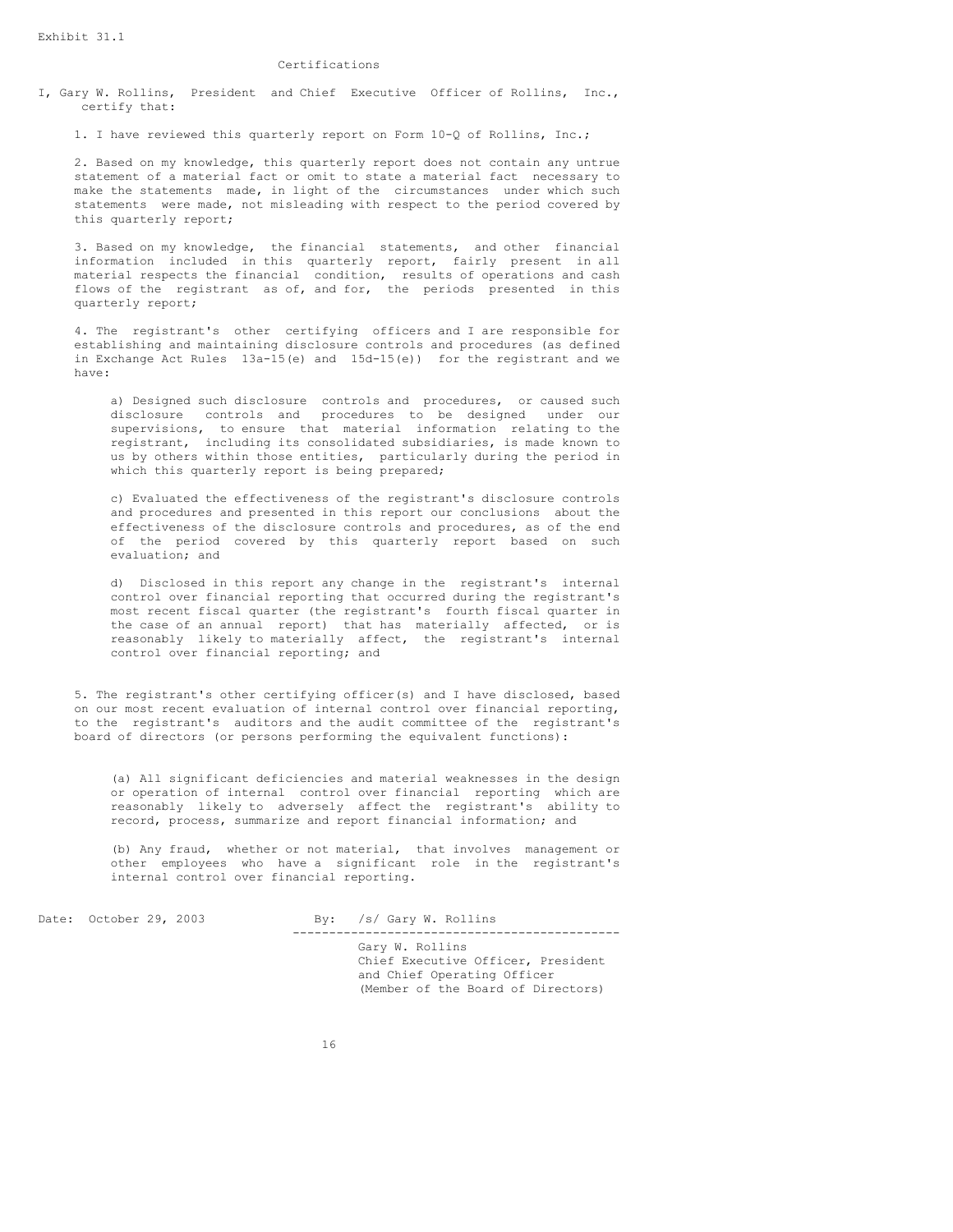### Certifications

I, Gary W. Rollins, President and Chief Executive Officer of Rollins, Inc., certify that:

1. I have reviewed this quarterly report on Form 10-Q of Rollins, Inc.;

2. Based on my knowledge, this quarterly report does not contain any untrue statement of a material fact or omit to state a material fact necessary to make the statements made, in light of the circumstances under which such statements were made, not misleading with respect to the period covered by this quarterly report;

3. Based on my knowledge, the financial statements, and other financial information included in this quarterly report, fairly present in all material respects the financial condition, results of operations and cash flows of the registrant as of, and for, the periods presented in this quarterly report;

4. The registrant's other certifying officers and I are responsible for establishing and maintaining disclosure controls and procedures (as defined in Exchange Act Rules 13a-15(e) and 15d-15(e)) for the registrant and we have:

a) Designed such disclosure controls and procedures, or caused such disclosure controls and procedures to be designed under our supervisions, to ensure that material information relating to the registrant, including its consolidated subsidiaries, is made known to us by others within those entities, particularly during the period in which this quarterly report is being prepared;

c) Evaluated the effectiveness of the registrant's disclosure controls and procedures and presented in this report our conclusions about the effectiveness of the disclosure controls and procedures, as of the end of the period covered by this quarterly report based on such evaluation; and

d) Disclosed in this report any change in the registrant's internal control over financial reporting that occurred during the registrant's most recent fiscal quarter (the registrant's fourth fiscal quarter in the case of an annual report) that has materially affected, or is reasonably likely to materially affect, the registrant's internal control over financial reporting; and

5. The registrant's other certifying officer(s) and I have disclosed, based on our most recent evaluation of internal control over financial reporting, to the registrant's auditors and the audit committee of the registrant's board of directors (or persons performing the equivalent functions):

(a) All significant deficiencies and material weaknesses in the design or operation of internal control over financial reporting which are reasonably likely to adversely affect the registrant's ability to record, process, summarize and report financial information; and

(b) Any fraud, whether or not material, that involves management or other employees who have a significant role in the registrant's internal control over financial reporting.

Date: October 29, 2003 By: /s/ Gary W. Rollins --------------------------------------------- Gary W. Rollins Chief Executive Officer, President and Chief Operating Officer (Member of the Board of Directors)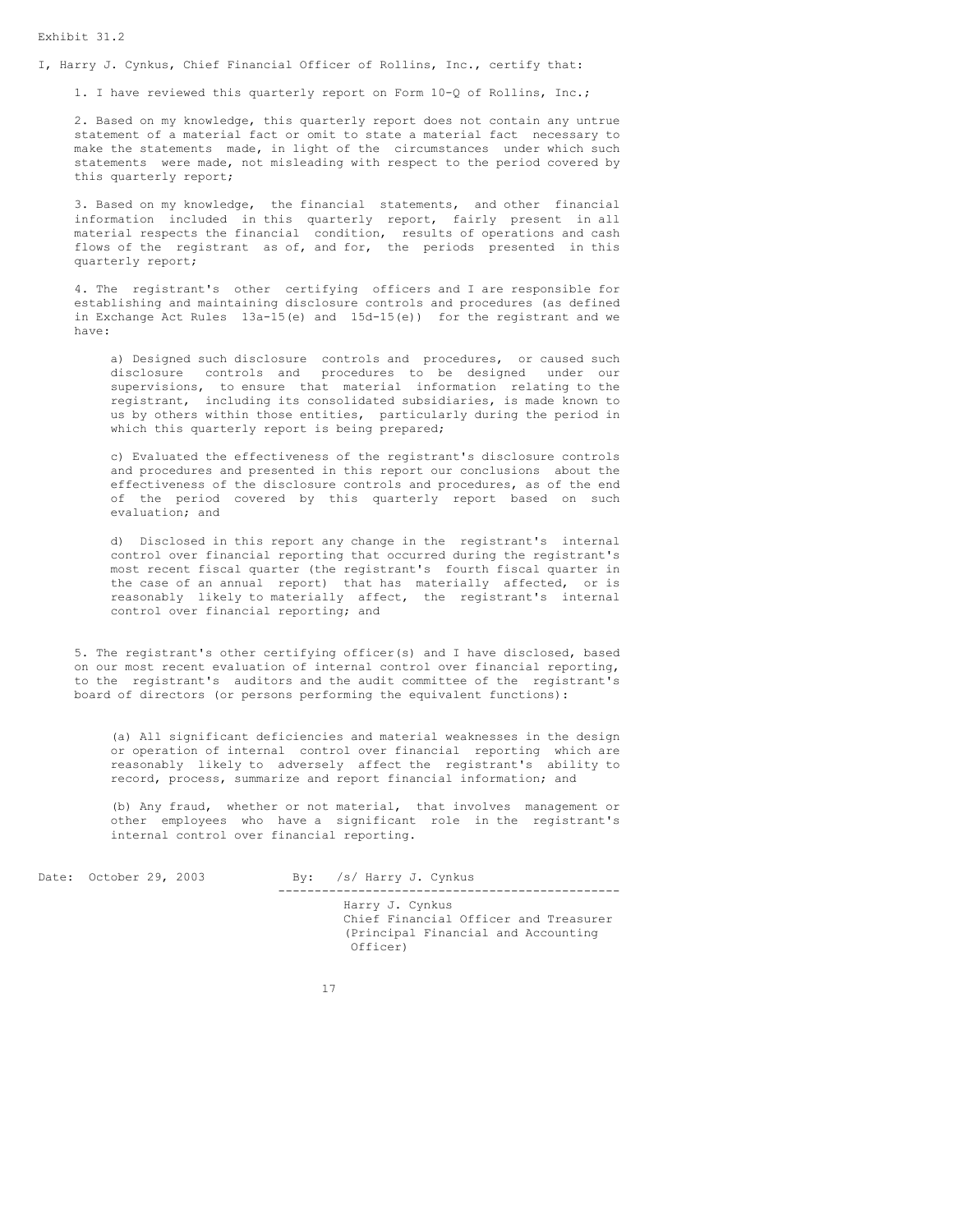Exhibit 31.2

I, Harry J. Cynkus, Chief Financial Officer of Rollins, Inc., certify that:

1. I have reviewed this quarterly report on Form 10-Q of Rollins, Inc.;

2. Based on my knowledge, this quarterly report does not contain any untrue statement of a material fact or omit to state a material fact necessary to make the statements made, in light of the circumstances under which such statements were made, not misleading with respect to the period covered by this quarterly report;

3. Based on my knowledge, the financial statements, and other financial information included in this quarterly report, fairly present in all material respects the financial condition, results of operations and cash flows of the registrant as of, and for, the periods presented in this quarterly report;

4. The registrant's other certifying officers and I are responsible for establishing and maintaining disclosure controls and procedures (as defined in Exchange Act Rules 13a-15(e) and 15d-15(e)) for the registrant and we have:

a) Designed such disclosure controls and procedures, or caused such disclosure controls and procedures to be designed under our supervisions, to ensure that material information relating to the registrant, including its consolidated subsidiaries, is made known to us by others within those entities, particularly during the period in which this quarterly report is being prepared;

c) Evaluated the effectiveness of the registrant's disclosure controls and procedures and presented in this report our conclusions about the effectiveness of the disclosure controls and procedures, as of the end of the period covered by this quarterly report based on such evaluation; and

d) Disclosed in this report any change in the registrant's internal control over financial reporting that occurred during the registrant's most recent fiscal quarter (the registrant's fourth fiscal quarter in the case of an annual report) that has materially affected, or is reasonably likely to materially affect, the registrant's internal control over financial reporting; and

5. The registrant's other certifying officer(s) and I have disclosed, based on our most recent evaluation of internal control over financial reporting, to the registrant's auditors and the audit committee of the registrant's board of directors (or persons performing the equivalent functions):

(a) All significant deficiencies and material weaknesses in the design or operation of internal control over financial reporting which are reasonably likely to adversely affect the registrant's ability to record, process, summarize and report financial information; and

(b) Any fraud, whether or not material, that involves management or other employees who have a significant role in the registrant's internal control over financial reporting.

| October 29,<br>Date: |  | 2003 |
|----------------------|--|------|
|----------------------|--|------|

ober 29, 2003 By: /s/ Harry J. Cynkus ----------------------------------------------- Harry J. Cynkus Chief Financial Officer and Treasurer (Principal Financial and Accounting Officer)

17